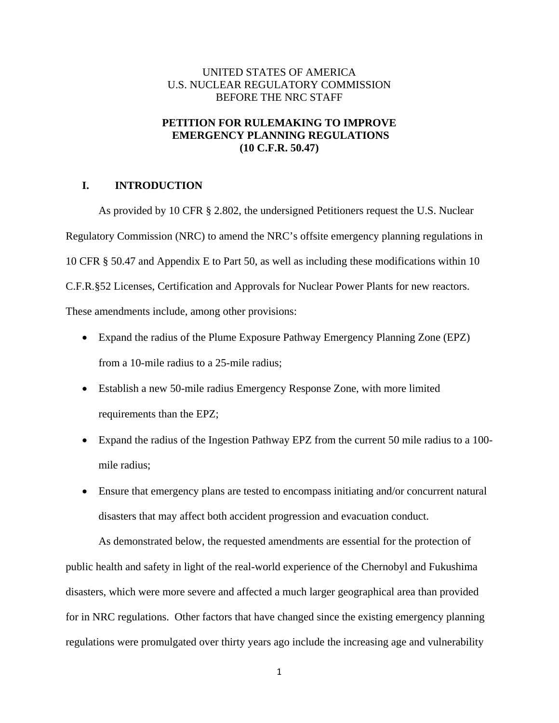# UNITED STATES OF AMERICA U.S. NUCLEAR REGULATORY COMMISSION BEFORE THE NRC STAFF

# **PETITION FOR RULEMAKING TO IMPROVE EMERGENCY PLANNING REGULATIONS (10 C.F.R. 50.47)**

## **I. INTRODUCTION**

As provided by 10 CFR § 2.802, the undersigned Petitioners request the U.S. Nuclear Regulatory Commission (NRC) to amend the NRC's offsite emergency planning regulations in 10 CFR § 50.47 and Appendix E to Part 50, as well as including these modifications within 10 C.F.R.§52 Licenses, Certification and Approvals for Nuclear Power Plants for new reactors. These amendments include, among other provisions:

- Expand the radius of the Plume Exposure Pathway Emergency Planning Zone (EPZ) from a 10-mile radius to a 25-mile radius;
- Establish a new 50-mile radius Emergency Response Zone, with more limited requirements than the EPZ;
- Expand the radius of the Ingestion Pathway EPZ from the current 50 mile radius to a 100 mile radius;
- Ensure that emergency plans are tested to encompass initiating and/or concurrent natural disasters that may affect both accident progression and evacuation conduct.

As demonstrated below, the requested amendments are essential for the protection of public health and safety in light of the real-world experience of the Chernobyl and Fukushima disasters, which were more severe and affected a much larger geographical area than provided for in NRC regulations. Other factors that have changed since the existing emergency planning regulations were promulgated over thirty years ago include the increasing age and vulnerability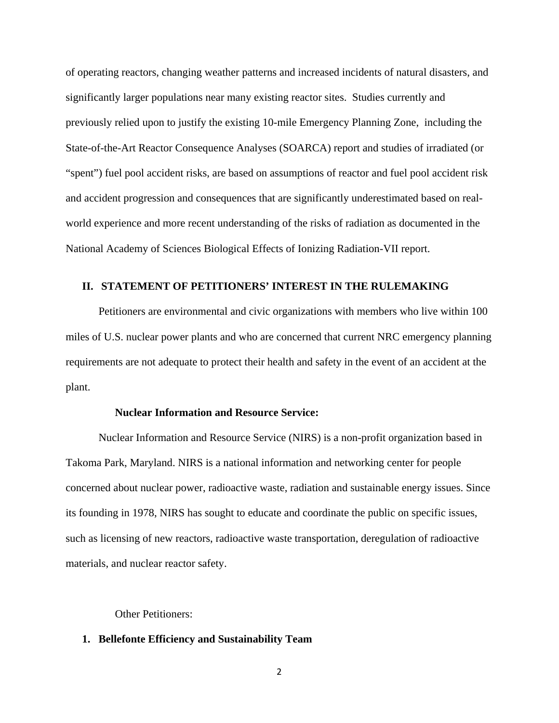of operating reactors, changing weather patterns and increased incidents of natural disasters, and significantly larger populations near many existing reactor sites. Studies currently and previously relied upon to justify the existing 10-mile Emergency Planning Zone, including the State-of-the-Art Reactor Consequence Analyses (SOARCA) report and studies of irradiated (or "spent") fuel pool accident risks, are based on assumptions of reactor and fuel pool accident risk and accident progression and consequences that are significantly underestimated based on realworld experience and more recent understanding of the risks of radiation as documented in the National Academy of Sciences Biological Effects of Ionizing Radiation-VII report.

## **II. STATEMENT OF PETITIONERS' INTEREST IN THE RULEMAKING**

Petitioners are environmental and civic organizations with members who live within 100 miles of U.S. nuclear power plants and who are concerned that current NRC emergency planning requirements are not adequate to protect their health and safety in the event of an accident at the plant.

## **Nuclear Information and Resource Service:**

 Nuclear Information and Resource Service (NIRS) is a non-profit organization based in Takoma Park, Maryland. NIRS is a national information and networking center for people concerned about nuclear power, radioactive waste, radiation and sustainable energy issues. Since its founding in 1978, NIRS has sought to educate and coordinate the public on specific issues, such as licensing of new reactors, radioactive waste transportation, deregulation of radioactive materials, and nuclear reactor safety.

Other Petitioners:

#### **1. Bellefonte Efficiency and Sustainability Team**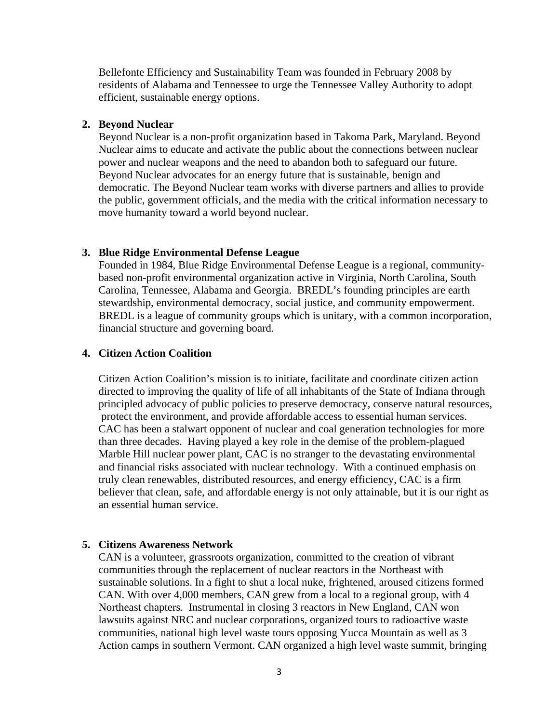Bellefonte Efficiency and Sustainability Team was founded in February 2008 by residents of Alabama and Tennessee to urge the Tennessee Valley Authority to adopt efficient, sustainable energy options.

#### **2. Beyond Nuclear**

Beyond Nuclear is a non-profit organization based in Takoma Park, Maryland. Beyond Nuclear aims to educate and activate the public about the connections between nuclear power and nuclear weapons and the need to abandon both to safeguard our future. Beyond Nuclear advocates for an energy future that is sustainable, benign and democratic. The Beyond Nuclear team works with diverse partners and allies to provide the public, government officials, and the media with the critical information necessary to move humanity toward a world beyond nuclear.

#### **3. Blue Ridge Environmental Defense League**

Founded in 1984, Blue Ridge Environmental Defense League is a regional, communitybased non-profit environmental organization active in Virginia, North Carolina, South Carolina, Tennessee, Alabama and Georgia. BREDL's founding principles are earth stewardship, environmental democracy, social justice, and community empowerment. BREDL is a league of community groups which is unitary, with a common incorporation, financial structure and governing board.

# **4. Citizen Action Coalition**

Citizen Action Coalition's mission is to initiate, facilitate and coordinate citizen action directed to improving the quality of life of all inhabitants of the State of Indiana through principled advocacy of public policies to preserve democracy, conserve natural resources, protect the environment, and provide affordable access to essential human services. CAC has been a stalwart opponent of nuclear and coal generation technologies for more than three decades. Having played a key role in the demise of the problem-plagued Marble Hill nuclear power plant, CAC is no stranger to the devastating environmental and financial risks associated with nuclear technology. With a continued emphasis on truly clean renewables, distributed resources, and energy efficiency, CAC is a firm believer that clean, safe, and affordable energy is not only attainable, but it is our right as an essential human service.

## **5. Citizens Awareness Network**

CAN is a volunteer, grassroots organization, committed to the creation of vibrant communities through the replacement of nuclear reactors in the Northeast with sustainable solutions. In a fight to shut a local nuke, frightened, aroused citizens formed CAN. With over 4,000 members, CAN grew from a local to a regional group, with 4 Northeast chapters. Instrumental in closing 3 reactors in New England, CAN won lawsuits against NRC and nuclear corporations, organized tours to radioactive waste communities, national high level waste tours opposing Yucca Mountain as well as 3 Action camps in southern Vermont. CAN organized a high level waste summit, bringing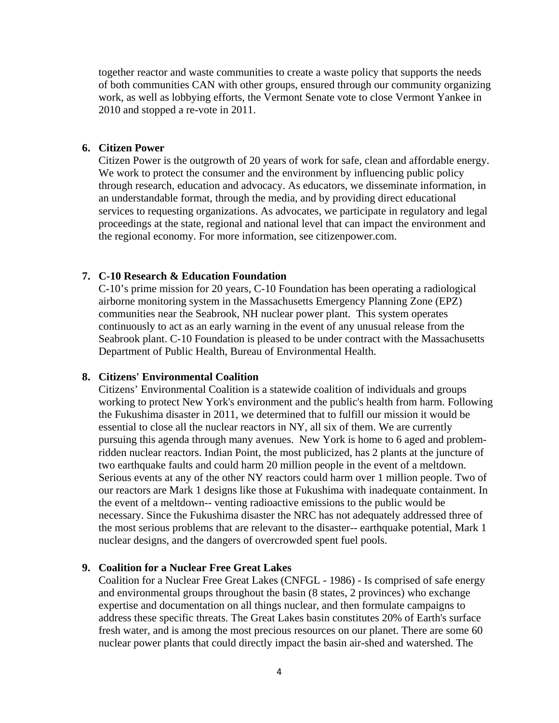together reactor and waste communities to create a waste policy that supports the needs of both communities CAN with other groups, ensured through our community organizing work, as well as lobbying efforts, the Vermont Senate vote to close Vermont Yankee in 2010 and stopped a re-vote in 2011.

#### **6. Citizen Power**

Citizen Power is the outgrowth of 20 years of work for safe, clean and affordable energy. We work to protect the consumer and the environment by influencing public policy through research, education and advocacy. As educators, we disseminate information, in an understandable format, through the media, and by providing direct educational services to requesting organizations. As advocates, we participate in regulatory and legal proceedings at the state, regional and national level that can impact the environment and the regional economy. For more information, see citizenpower.com.

# **7. C-10 Research & Education Foundation**

C-10's prime mission for 20 years, C-10 Foundation has been operating a radiological airborne monitoring system in the Massachusetts Emergency Planning Zone (EPZ) communities near the Seabrook, NH nuclear power plant. This system operates continuously to act as an early warning in the event of any unusual release from the Seabrook plant. C-10 Foundation is pleased to be under contract with the Massachusetts Department of Public Health, Bureau of Environmental Health.

#### **8. Citizens' Environmental Coalition**

Citizens' Environmental Coalition is a statewide coalition of individuals and groups working to protect New York's environment and the public's health from harm. Following the Fukushima disaster in 2011, we determined that to fulfill our mission it would be essential to close all the nuclear reactors in NY, all six of them. We are currently pursuing this agenda through many avenues. New York is home to 6 aged and problemridden nuclear reactors. Indian Point, the most publicized, has 2 plants at the juncture of two earthquake faults and could harm 20 million people in the event of a meltdown. Serious events at any of the other NY reactors could harm over 1 million people. Two of our reactors are Mark 1 designs like those at Fukushima with inadequate containment. In the event of a meltdown-- venting radioactive emissions to the public would be necessary. Since the Fukushima disaster the NRC has not adequately addressed three of the most serious problems that are relevant to the disaster-- earthquake potential, Mark 1 nuclear designs, and the dangers of overcrowded spent fuel pools.

## **9. Coalition for a Nuclear Free Great Lakes**

Coalition for a Nuclear Free Great Lakes (CNFGL - 1986) - Is comprised of safe energy and environmental groups throughout the basin (8 states, 2 provinces) who exchange expertise and documentation on all things nuclear, and then formulate campaigns to address these specific threats. The Great Lakes basin constitutes 20% of Earth's surface fresh water, and is among the most precious resources on our planet. There are some 60 nuclear power plants that could directly impact the basin air-shed and watershed. The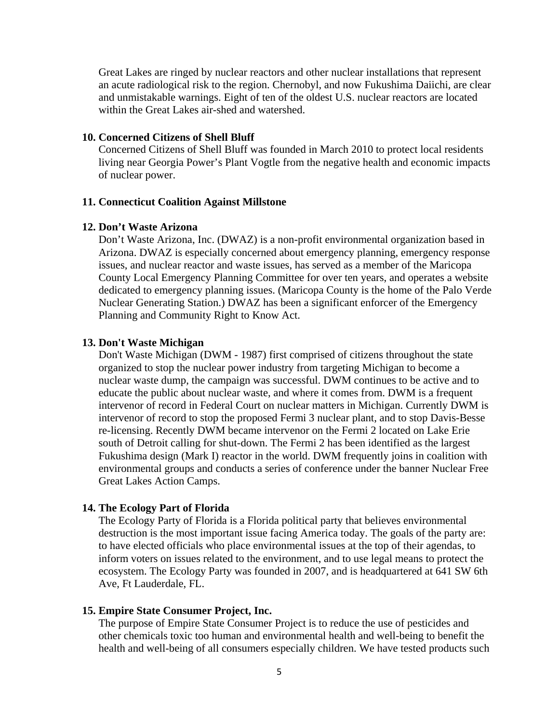Great Lakes are ringed by nuclear reactors and other nuclear installations that represent an acute radiological risk to the region. Chernobyl, and now Fukushima Daiichi, are clear and unmistakable warnings. Eight of ten of the oldest U.S. nuclear reactors are located within the Great Lakes air-shed and watershed.

## **10. Concerned Citizens of Shell Bluff**

Concerned Citizens of Shell Bluff was founded in March 2010 to protect local residents living near Georgia Power's Plant Vogtle from the negative health and economic impacts of nuclear power.

#### **11. Connecticut Coalition Against Millstone**

#### **12. Don't Waste Arizona**

Don't Waste Arizona, Inc. (DWAZ) is a non-profit environmental organization based in Arizona. DWAZ is especially concerned about emergency planning, emergency response issues, and nuclear reactor and waste issues, has served as a member of the Maricopa County Local Emergency Planning Committee for over ten years, and operates a website dedicated to emergency planning issues. (Maricopa County is the home of the Palo Verde Nuclear Generating Station.) DWAZ has been a significant enforcer of the Emergency Planning and Community Right to Know Act.

#### **13. Don't Waste Michigan**

Don't Waste Michigan (DWM - 1987) first comprised of citizens throughout the state organized to stop the nuclear power industry from targeting Michigan to become a nuclear waste dump, the campaign was successful. DWM continues to be active and to educate the public about nuclear waste, and where it comes from. DWM is a frequent intervenor of record in Federal Court on nuclear matters in Michigan. Currently DWM is intervenor of record to stop the proposed Fermi 3 nuclear plant, and to stop Davis-Besse re-licensing. Recently DWM became intervenor on the Fermi 2 located on Lake Erie south of Detroit calling for shut-down. The Fermi 2 has been identified as the largest Fukushima design (Mark I) reactor in the world. DWM frequently joins in coalition with environmental groups and conducts a series of conference under the banner Nuclear Free Great Lakes Action Camps.

#### **14. The Ecology Part of Florida**

The Ecology Party of Florida is a Florida political party that believes environmental destruction is the most important issue facing America today. The goals of the party are: to have elected officials who place environmental issues at the top of their agendas, to inform voters on issues related to the environment, and to use legal means to protect the ecosystem. The Ecology Party was founded in 2007, and is headquartered at 641 SW 6th Ave, Ft Lauderdale, FL.

#### **15. Empire State Consumer Project, Inc.**

The purpose of Empire State Consumer Project is to reduce the use of pesticides and other chemicals toxic too human and environmental health and well-being to benefit the health and well-being of all consumers especially children. We have tested products such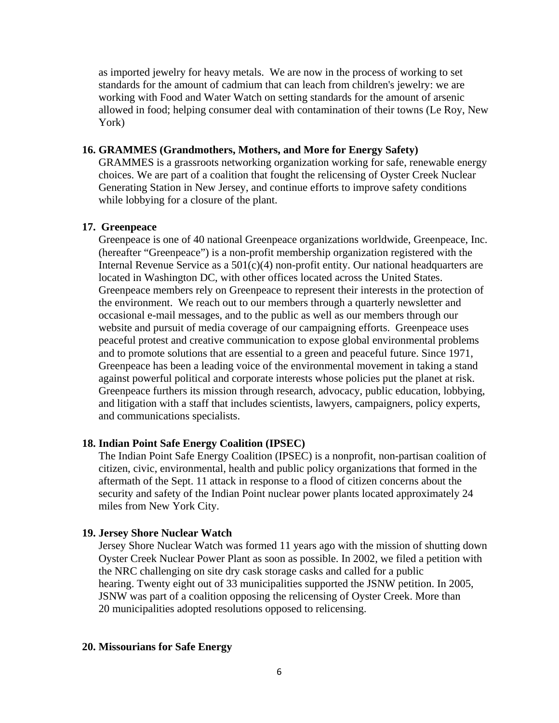as imported jewelry for heavy metals. We are now in the process of working to set standards for the amount of cadmium that can leach from children's jewelry: we are working with Food and Water Watch on setting standards for the amount of arsenic allowed in food; helping consumer deal with contamination of their towns (Le Roy, New York)

#### **16. GRAMMES (Grandmothers, Mothers, and More for Energy Safety)**

GRAMMES is a grassroots networking organization working for safe, renewable energy choices. We are part of a coalition that fought the relicensing of Oyster Creek Nuclear Generating Station in New Jersey, and continue efforts to improve safety conditions while lobbying for a closure of the plant.

#### **17. Greenpeace**

Greenpeace is one of 40 national Greenpeace organizations worldwide, Greenpeace, Inc. (hereafter "Greenpeace") is a non-profit membership organization registered with the Internal Revenue Service as a  $501(c)(4)$  non-profit entity. Our national headquarters are located in Washington DC, with other offices located across the United States. Greenpeace members rely on Greenpeace to represent their interests in the protection of the environment. We reach out to our members through a quarterly newsletter and occasional e-mail messages, and to the public as well as our members through our website and pursuit of media coverage of our campaigning efforts. Greenpeace uses peaceful protest and creative communication to expose global environmental problems and to promote solutions that are essential to a green and peaceful future. Since 1971, Greenpeace has been a leading voice of the environmental movement in taking a stand against powerful political and corporate interests whose policies put the planet at risk. Greenpeace furthers its mission through research, advocacy, public education, lobbying, and litigation with a staff that includes scientists, lawyers, campaigners, policy experts, and communications specialists.

## **18. Indian Point Safe Energy Coalition (IPSEC)**

The Indian Point Safe Energy Coalition (IPSEC) is a nonprofit, non-partisan coalition of citizen, civic, environmental, health and public policy organizations that formed in the aftermath of the Sept. 11 attack in response to a flood of citizen concerns about the security and safety of the Indian Point nuclear power plants located approximately 24 miles from New York City.

#### **19. Jersey Shore Nuclear Watch**

Jersey Shore Nuclear Watch was formed 11 years ago with the mission of shutting down Oyster Creek Nuclear Power Plant as soon as possible. In 2002, we filed a petition with the NRC challenging on site dry cask storage casks and called for a public hearing. Twenty eight out of 33 municipalities supported the JSNW petition. In 2005, JSNW was part of a coalition opposing the relicensing of Oyster Creek. More than 20 municipalities adopted resolutions opposed to relicensing.

#### **20. Missourians for Safe Energy**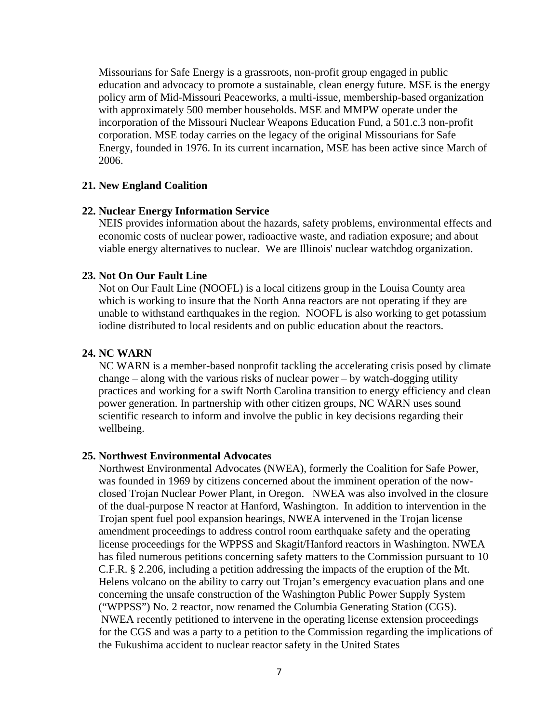Missourians for Safe Energy is a grassroots, non-profit group engaged in public education and advocacy to promote a sustainable, clean energy future. MSE is the energy policy arm of Mid-Missouri Peaceworks, a multi-issue, membership-based organization with approximately 500 member households. MSE and MMPW operate under the incorporation of the Missouri Nuclear Weapons Education Fund, a 501.c.3 non-profit corporation. MSE today carries on the legacy of the original Missourians for Safe Energy, founded in 1976. In its current incarnation, MSE has been active since March of 2006.

#### **21. New England Coalition**

#### **22. Nuclear Energy Information Service**

NEIS provides information about the hazards, safety problems, environmental effects and economic costs of nuclear power, radioactive waste, and radiation exposure; and about viable energy alternatives to nuclear. We are Illinois' nuclear watchdog organization.

#### **23. Not On Our Fault Line**

Not on Our Fault Line (NOOFL) is a local citizens group in the Louisa County area which is working to insure that the North Anna reactors are not operating if they are unable to withstand earthquakes in the region. NOOFL is also working to get potassium iodine distributed to local residents and on public education about the reactors.

# **24. NC WARN**

NC WARN is a member-based nonprofit tackling the accelerating crisis posed by climate change – along with the various risks of nuclear power – by watch-dogging utility practices and working for a swift North Carolina transition to energy efficiency and clean power generation. In partnership with other citizen groups, NC WARN uses sound scientific research to inform and involve the public in key decisions regarding their wellbeing.

#### **25. Northwest Environmental Advocates**

Northwest Environmental Advocates (NWEA), formerly the Coalition for Safe Power, was founded in 1969 by citizens concerned about the imminent operation of the nowclosed Trojan Nuclear Power Plant, in Oregon. NWEA was also involved in the closure of the dual-purpose N reactor at Hanford, Washington. In addition to intervention in the Trojan spent fuel pool expansion hearings, NWEA intervened in the Trojan license amendment proceedings to address control room earthquake safety and the operating license proceedings for the WPPSS and Skagit/Hanford reactors in Washington. NWEA has filed numerous petitions concerning safety matters to the Commission pursuant to 10 C.F.R. § 2.206, including a petition addressing the impacts of the eruption of the Mt. Helens volcano on the ability to carry out Trojan's emergency evacuation plans and one concerning the unsafe construction of the Washington Public Power Supply System ("WPPSS") No. 2 reactor, now renamed the Columbia Generating Station (CGS). NWEA recently petitioned to intervene in the operating license extension proceedings for the CGS and was a party to a petition to the Commission regarding the implications of the Fukushima accident to nuclear reactor safety in the United States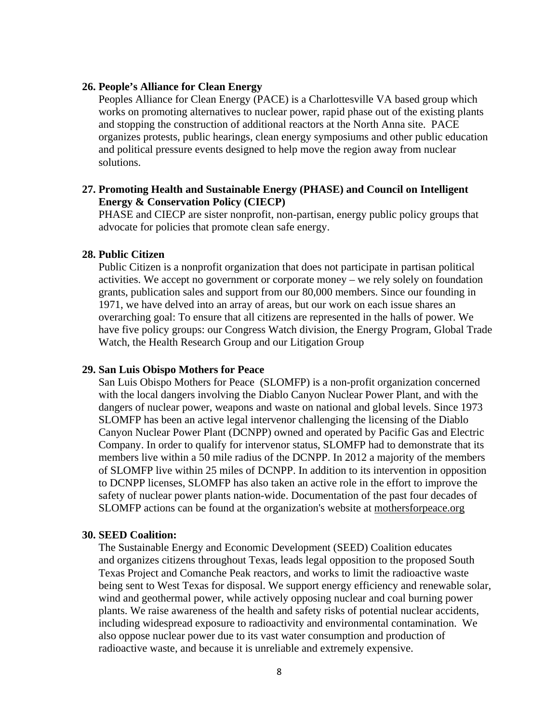#### **26. People's Alliance for Clean Energy**

Peoples Alliance for Clean Energy (PACE) is a Charlottesville VA based group which works on promoting alternatives to nuclear power, rapid phase out of the existing plants and stopping the construction of additional reactors at the North Anna site. PACE organizes protests, public hearings, clean energy symposiums and other public education and political pressure events designed to help move the region away from nuclear solutions.

# **27. Promoting Health and Sustainable Energy (PHASE) and Council on Intelligent Energy & Conservation Policy (CIECP)**

PHASE and CIECP are sister nonprofit, non-partisan, energy public policy groups that advocate for policies that promote clean safe energy.

#### **28. Public Citizen**

Public Citizen is a nonprofit organization that does not participate in partisan political activities. We accept no government or corporate money – we rely solely on foundation grants, publication sales and support from our 80,000 members. Since our founding in 1971, we have delved into an array of areas, but our work on each issue shares an overarching goal: To ensure that all citizens are represented in the halls of power. We have five policy groups: our Congress Watch division, the Energy Program, Global Trade Watch, the Health Research Group and our Litigation Group

#### **29. San Luis Obispo Mothers for Peace**

San Luis Obispo Mothers for Peace (SLOMFP) is a non-profit organization concerned with the local dangers involving the Diablo Canyon Nuclear Power Plant, and with the dangers of nuclear power, weapons and waste on national and global levels. Since 1973 SLOMFP has been an active legal intervenor challenging the licensing of the Diablo Canyon Nuclear Power Plant (DCNPP) owned and operated by Pacific Gas and Electric Company. In order to qualify for intervenor status, SLOMFP had to demonstrate that its members live within a 50 mile radius of the DCNPP. In 2012 a majority of the members of SLOMFP live within 25 miles of DCNPP. In addition to its intervention in opposition to DCNPP licenses, SLOMFP has also taken an active role in the effort to improve the safety of nuclear power plants nation-wide. Documentation of the past four decades of SLOMFP actions can be found at the organization's website at mothersforpeace.org

#### **30. SEED Coalition:**

The Sustainable Energy and Economic Development (SEED) Coalition educates and organizes citizens throughout Texas, leads legal opposition to the proposed South Texas Project and Comanche Peak reactors, and works to limit the radioactive waste being sent to West Texas for disposal. We support energy efficiency and renewable solar, wind and geothermal power, while actively opposing nuclear and coal burning power plants. We raise awareness of the health and safety risks of potential nuclear accidents, including widespread exposure to radioactivity and environmental contamination. We also oppose nuclear power due to its vast water consumption and production of radioactive waste, and because it is unreliable and extremely expensive.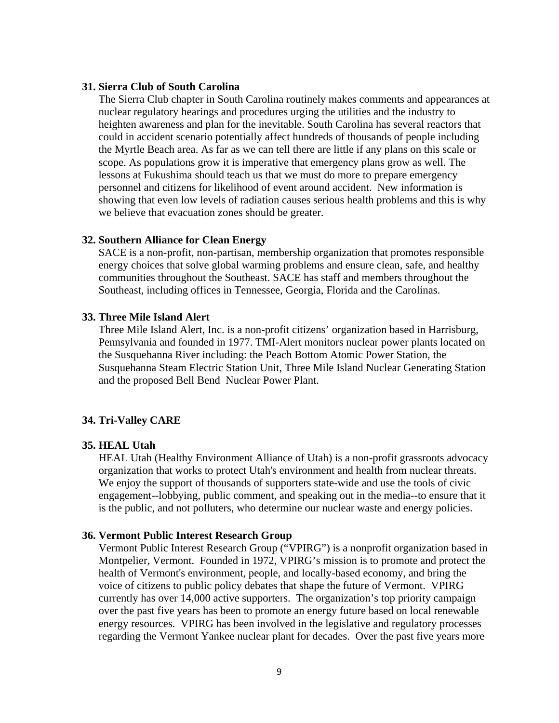#### **31. Sierra Club of South Carolina**

The Sierra Club chapter in South Carolina routinely makes comments and appearances at nuclear regulatory hearings and procedures urging the utilities and the industry to heighten awareness and plan for the inevitable. South Carolina has several reactors that could in accident scenario potentially affect hundreds of thousands of people including the Myrtle Beach area. As far as we can tell there are little if any plans on this scale or scope. As populations grow it is imperative that emergency plans grow as well. The lessons at Fukushima should teach us that we must do more to prepare emergency personnel and citizens for likelihood of event around accident. New information is showing that even low levels of radiation causes serious health problems and this is why we believe that evacuation zones should be greater.

#### **32. Southern Alliance for Clean Energy**

SACE is a non-profit, non-partisan, membership organization that promotes responsible energy choices that solve global warming problems and ensure clean, safe, and healthy communities throughout the Southeast. SACE has staff and members throughout the Southeast, including offices in Tennessee, Georgia, Florida and the Carolinas.

# **33. Three Mile Island Alert**

Three Mile Island Alert, Inc. is a non-profit citizens' organization based in Harrisburg, Pennsylvania and founded in 1977. TMI-Alert monitors nuclear power plants located on the Susquehanna River including: the Peach Bottom Atomic Power Station, the Susquehanna Steam Electric Station Unit, Three Mile Island Nuclear Generating Station and the proposed Bell Bend Nuclear Power Plant.

#### **34. Tri-Valley CARE**

#### **35. HEAL Utah**

HEAL Utah (Healthy Environment Alliance of Utah) is a non-profit grassroots advocacy organization that works to protect Utah's environment and health from nuclear threats. We enjoy the support of thousands of supporters state-wide and use the tools of civic engagement--lobbying, public comment, and speaking out in the media--to ensure that it is the public, and not polluters, who determine our nuclear waste and energy policies.

#### **36. Vermont Public Interest Research Group**

Vermont Public Interest Research Group ("VPIRG") is a nonprofit organization based in Montpelier, Vermont. Founded in 1972, VPIRG's mission is to promote and protect the health of Vermont's environment, people, and locally-based economy, and bring the voice of citizens to public policy debates that shape the future of Vermont. VPIRG currently has over 14,000 active supporters. The organization's top priority campaign over the past five years has been to promote an energy future based on local renewable energy resources. VPIRG has been involved in the legislative and regulatory processes regarding the Vermont Yankee nuclear plant for decades. Over the past five years more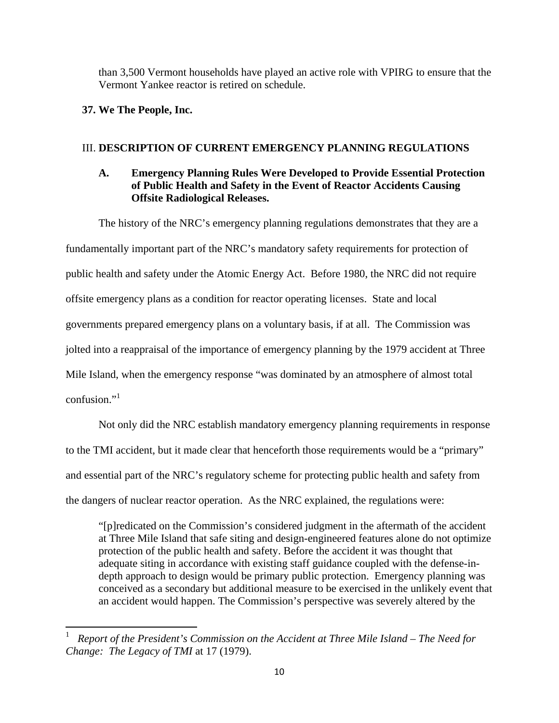than 3,500 Vermont households have played an active role with VPIRG to ensure that the Vermont Yankee reactor is retired on schedule.

# **37. We The People, Inc.**

# III. **DESCRIPTION OF CURRENT EMERGENCY PLANNING REGULATIONS**

# **A. Emergency Planning Rules Were Developed to Provide Essential Protection of Public Health and Safety in the Event of Reactor Accidents Causing Offsite Radiological Releases.**

The history of the NRC's emergency planning regulations demonstrates that they are a fundamentally important part of the NRC's mandatory safety requirements for protection of public health and safety under the Atomic Energy Act. Before 1980, the NRC did not require offsite emergency plans as a condition for reactor operating licenses. State and local governments prepared emergency plans on a voluntary basis, if at all. The Commission was jolted into a reappraisal of the importance of emergency planning by the 1979 accident at Three Mile Island, when the emergency response "was dominated by an atmosphere of almost total confusion."<sup>1</sup>

Not only did the NRC establish mandatory emergency planning requirements in response to the TMI accident, but it made clear that henceforth those requirements would be a "primary" and essential part of the NRC's regulatory scheme for protecting public health and safety from the dangers of nuclear reactor operation. As the NRC explained, the regulations were:

"[p]redicated on the Commission's considered judgment in the aftermath of the accident at Three Mile Island that safe siting and design-engineered features alone do not optimize protection of the public health and safety. Before the accident it was thought that adequate siting in accordance with existing staff guidance coupled with the defense-indepth approach to design would be primary public protection. Emergency planning was conceived as a secondary but additional measure to be exercised in the unlikely event that an accident would happen. The Commission's perspective was severely altered by the

<sup>1</sup> *Report of the President's Commission on the Accident at Three Mile Island – The Need for Change: The Legacy of TMI* at 17 (1979).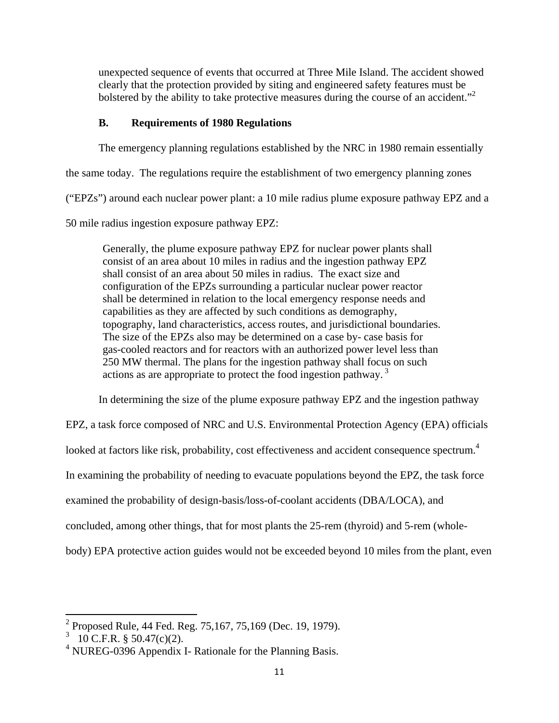unexpected sequence of events that occurred at Three Mile Island. The accident showed clearly that the protection provided by siting and engineered safety features must be bolstered by the ability to take protective measures during the course of an accident."<sup>2</sup>

# **B. Requirements of 1980 Regulations**

The emergency planning regulations established by the NRC in 1980 remain essentially

the same today. The regulations require the establishment of two emergency planning zones

("EPZs") around each nuclear power plant: a 10 mile radius plume exposure pathway EPZ and a

50 mile radius ingestion exposure pathway EPZ:

Generally, the plume exposure pathway EPZ for nuclear power plants shall consist of an area about 10 miles in radius and the ingestion pathway EPZ shall consist of an area about 50 miles in radius. The exact size and configuration of the EPZs surrounding a particular nuclear power reactor shall be determined in relation to the local emergency response needs and capabilities as they are affected by such conditions as demography, topography, land characteristics, access routes, and jurisdictional boundaries. The size of the EPZs also may be determined on a case by- case basis for gas-cooled reactors and for reactors with an authorized power level less than 250 MW thermal. The plans for the ingestion pathway shall focus on such actions as are appropriate to protect the food ingestion pathway.<sup>3</sup>

In determining the size of the plume exposure pathway EPZ and the ingestion pathway

EPZ, a task force composed of NRC and U.S. Environmental Protection Agency (EPA) officials

looked at factors like risk, probability, cost effectiveness and accident consequence spectrum.<sup>4</sup>

In examining the probability of needing to evacuate populations beyond the EPZ, the task force

examined the probability of design-basis/loss-of-coolant accidents (DBA/LOCA), and

concluded, among other things, that for most plants the 25-rem (thyroid) and 5-rem (whole-

body) EPA protective action guides would not be exceeded beyond 10 miles from the plant, even

<sup>&</sup>lt;sup>2</sup> Proposed Rule, 44 Fed. Reg. 75,167, 75,169 (Dec. 19, 1979).

 $3\quad 10 \text{ C.F.R. }$  § 50.47(c)(2).

<sup>&</sup>lt;sup>4</sup> NUREG-0396 Appendix I- Rationale for the Planning Basis.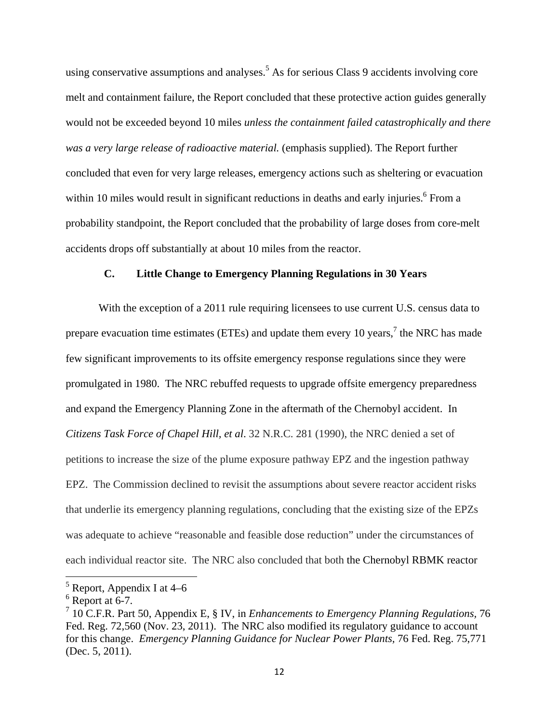using conservative assumptions and analyses.<sup>5</sup> As for serious Class 9 accidents involving core melt and containment failure, the Report concluded that these protective action guides generally would not be exceeded beyond 10 miles *unless the containment failed catastrophically and there was a very large release of radioactive material.* (emphasis supplied). The Report further concluded that even for very large releases, emergency actions such as sheltering or evacuation within 10 miles would result in significant reductions in deaths and early injuries.<sup>6</sup> From a probability standpoint, the Report concluded that the probability of large doses from core-melt accidents drops off substantially at about 10 miles from the reactor.

# **C. Little Change to Emergency Planning Regulations in 30 Years**

With the exception of a 2011 rule requiring licensees to use current U.S. census data to prepare evacuation time estimates (ETEs) and update them every 10 years,<sup>7</sup> the NRC has made few significant improvements to its offsite emergency response regulations since they were promulgated in 1980. The NRC rebuffed requests to upgrade offsite emergency preparedness and expand the Emergency Planning Zone in the aftermath of the Chernobyl accident. In *Citizens Task Force of Chapel Hill, et al*. 32 N.R.C. 281 (1990), the NRC denied a set of petitions to increase the size of the plume exposure pathway EPZ and the ingestion pathway EPZ. The Commission declined to revisit the assumptions about severe reactor accident risks that underlie its emergency planning regulations, concluding that the existing size of the EPZs was adequate to achieve "reasonable and feasible dose reduction" under the circumstances of each individual reactor site. The NRC also concluded that both the Chernobyl RBMK reactor

  $<sup>5</sup>$  Report, Appendix I at 4–6</sup>

 $6$  Report at 6-7.

<sup>7</sup> 10 C.F.R. Part 50, Appendix E, § IV, in *Enhancements to Emergency Planning Regulations,* 76 Fed. Reg. 72,560 (Nov. 23, 2011). The NRC also modified its regulatory guidance to account for this change. *Emergency Planning Guidance for Nuclear Power Plants,* 76 Fed. Reg. 75,771 (Dec. 5, 2011).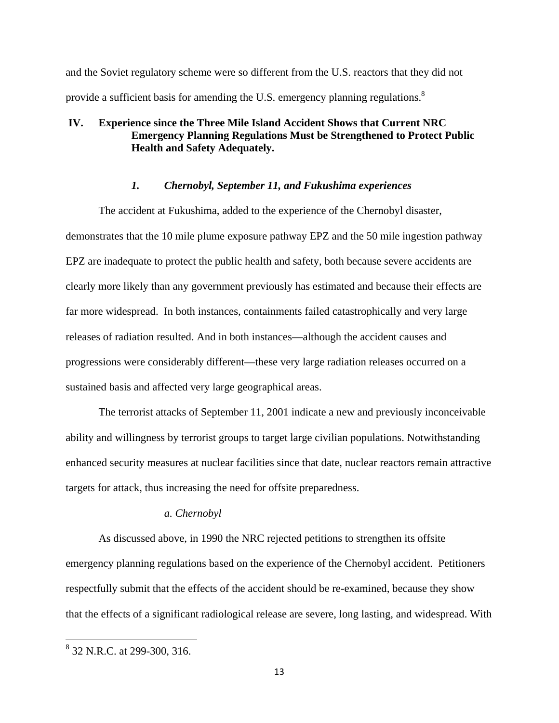and the Soviet regulatory scheme were so different from the U.S. reactors that they did not provide a sufficient basis for amending the U.S. emergency planning regulations.<sup>8</sup>

# **IV. Experience since the Three Mile Island Accident Shows that Current NRC Emergency Planning Regulations Must be Strengthened to Protect Public Health and Safety Adequately.**

#### *1. Chernobyl, September 11, and Fukushima experiences*

The accident at Fukushima, added to the experience of the Chernobyl disaster, demonstrates that the 10 mile plume exposure pathway EPZ and the 50 mile ingestion pathway EPZ are inadequate to protect the public health and safety, both because severe accidents are clearly more likely than any government previously has estimated and because their effects are far more widespread. In both instances, containments failed catastrophically and very large releases of radiation resulted. And in both instances—although the accident causes and progressions were considerably different—these very large radiation releases occurred on a sustained basis and affected very large geographical areas.

The terrorist attacks of September 11, 2001 indicate a new and previously inconceivable ability and willingness by terrorist groups to target large civilian populations. Notwithstanding enhanced security measures at nuclear facilities since that date, nuclear reactors remain attractive targets for attack, thus increasing the need for offsite preparedness.

## *a. Chernobyl*

As discussed above, in 1990 the NRC rejected petitions to strengthen its offsite emergency planning regulations based on the experience of the Chernobyl accident. Petitioners respectfully submit that the effects of the accident should be re-examined, because they show that the effects of a significant radiological release are severe, long lasting, and widespread. With

<sup>&</sup>lt;sup>8</sup> 32 N.R.C. at 299-300, 316.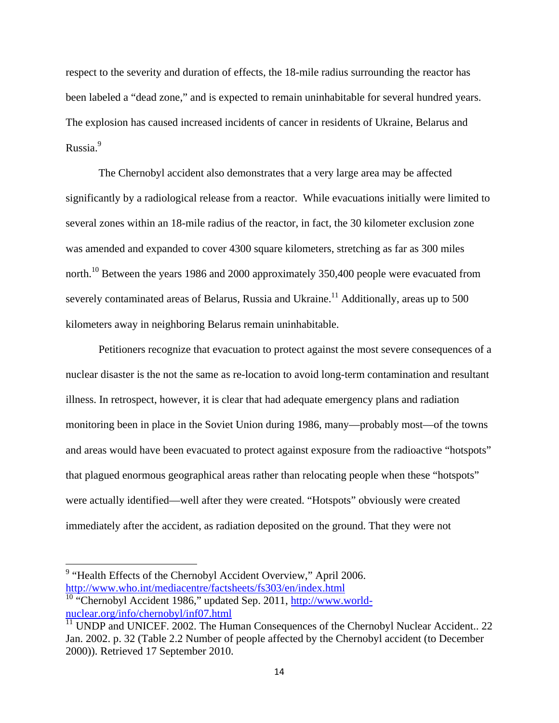respect to the severity and duration of effects, the 18-mile radius surrounding the reactor has been labeled a "dead zone," and is expected to remain uninhabitable for several hundred years. The explosion has caused increased incidents of cancer in residents of Ukraine, Belarus and Russia.<sup>9</sup>

The Chernobyl accident also demonstrates that a very large area may be affected significantly by a radiological release from a reactor. While evacuations initially were limited to several zones within an 18-mile radius of the reactor, in fact, the 30 kilometer exclusion zone was amended and expanded to cover 4300 square kilometers, stretching as far as 300 miles north.<sup>10</sup> Between the years 1986 and 2000 approximately 350,400 people were evacuated from severely contaminated areas of Belarus, Russia and Ukraine.<sup>11</sup> Additionally, areas up to 500 kilometers away in neighboring Belarus remain uninhabitable.

Petitioners recognize that evacuation to protect against the most severe consequences of a nuclear disaster is the not the same as re-location to avoid long-term contamination and resultant illness. In retrospect, however, it is clear that had adequate emergency plans and radiation monitoring been in place in the Soviet Union during 1986, many—probably most—of the towns and areas would have been evacuated to protect against exposure from the radioactive "hotspots" that plagued enormous geographical areas rather than relocating people when these "hotspots" were actually identified—well after they were created. "Hotspots" obviously were created immediately after the accident, as radiation deposited on the ground. That they were not

<sup>&</sup>lt;sup>9</sup> "Health Effects of the Chernobyl Accident Overview," April 2006. http://www.who.int/mediacentre/factsheets/fs303/en/index.html

<sup>&</sup>lt;sup>10</sup> "Chernobyl Accident 1986," updated Sep. 2011, http://www.worldnuclear.org/info/chernobyl/inf07.html

 $\frac{11}{11}$  UNDP and UNICEF. 2002. The Human Consequences of the Chernobyl Nuclear Accident.. 22 Jan. 2002. p. 32 (Table 2.2 Number of people affected by the Chernobyl accident (to December 2000)). Retrieved 17 September 2010.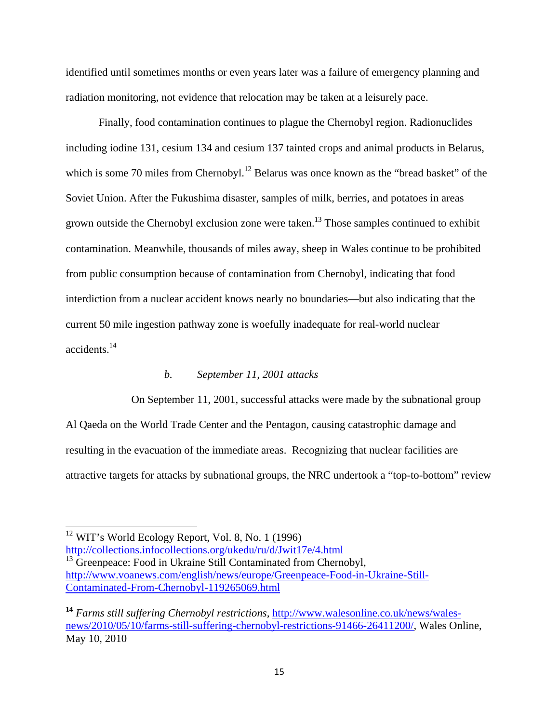identified until sometimes months or even years later was a failure of emergency planning and radiation monitoring, not evidence that relocation may be taken at a leisurely pace.

Finally, food contamination continues to plague the Chernobyl region. Radionuclides including iodine 131, cesium 134 and cesium 137 tainted crops and animal products in Belarus, which is some 70 miles from Chernobyl.<sup>12</sup> Belarus was once known as the "bread basket" of the Soviet Union. After the Fukushima disaster, samples of milk, berries, and potatoes in areas grown outside the Chernobyl exclusion zone were taken.<sup>13</sup> Those samples continued to exhibit contamination. Meanwhile, thousands of miles away, sheep in Wales continue to be prohibited from public consumption because of contamination from Chernobyl, indicating that food interdiction from a nuclear accident knows nearly no boundaries—but also indicating that the current 50 mile ingestion pathway zone is woefully inadequate for real-world nuclear accidents.14

## *b. September 11, 2001 attacks*

 On September 11, 2001, successful attacks were made by the subnational group Al Qaeda on the World Trade Center and the Pentagon, causing catastrophic damage and resulting in the evacuation of the immediate areas. Recognizing that nuclear facilities are attractive targets for attacks by subnational groups, the NRC undertook a "top-to-bottom" review

http://collections.infocollections.org/ukedu/ru/d/Jwit17e/4.html <sup>13</sup> Greenpeace: Food in Ukraine Still Contaminated from Chernobyl,

<sup>12</sup> WIT's World Ecology Report, Vol. 8, No. 1 (1996)

http://www.voanews.com/english/news/europe/Greenpeace-Food-in-Ukraine-Still-Contaminated-From-Chernobyl-119265069.html

**<sup>14</sup>** *Farms still suffering Chernobyl restrictions,* http://www.walesonline.co.uk/news/walesnews/2010/05/10/farms-still-suffering-chernobyl-restrictions-91466-26411200/, Wales Online, May 10, 2010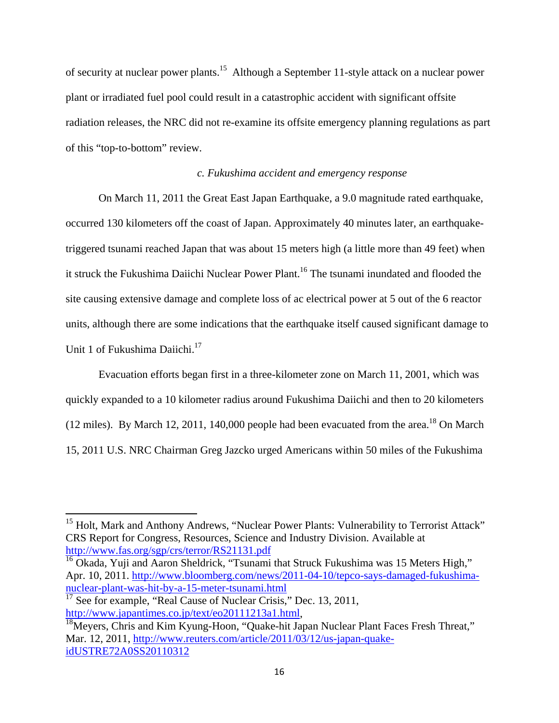of security at nuclear power plants.<sup>15</sup> Although a September 11-style attack on a nuclear power plant or irradiated fuel pool could result in a catastrophic accident with significant offsite radiation releases, the NRC did not re-examine its offsite emergency planning regulations as part of this "top-to-bottom" review.

# *c. Fukushima accident and emergency response*

On March 11, 2011 the Great East Japan Earthquake, a 9.0 magnitude rated earthquake, occurred 130 kilometers off the coast of Japan. Approximately 40 minutes later, an earthquaketriggered tsunami reached Japan that was about 15 meters high (a little more than 49 feet) when it struck the Fukushima Daiichi Nuclear Power Plant.<sup>16</sup> The tsunami inundated and flooded the site causing extensive damage and complete loss of ac electrical power at 5 out of the 6 reactor units, although there are some indications that the earthquake itself caused significant damage to Unit 1 of Fukushima Daiichi.<sup>17</sup>

Evacuation efforts began first in a three-kilometer zone on March 11, 2001, which was quickly expanded to a 10 kilometer radius around Fukushima Daiichi and then to 20 kilometers (12 miles). By March 12, 2011, 140,000 people had been evacuated from the area.<sup>18</sup> On March 15, 2011 U.S. NRC Chairman Greg Jazcko urged Americans within 50 miles of the Fukushima

<sup>&</sup>lt;sup>15</sup> Holt, Mark and Anthony Andrews, "Nuclear Power Plants: Vulnerability to Terrorist Attack" CRS Report for Congress, Resources, Science and Industry Division. Available at http://www.fas.org/sgp/crs/terror/RS21131.pdf

 $16$  Okada, Yuji and Aaron Sheldrick, "Tsunami that Struck Fukushima was 15 Meters High," Apr. 10, 2011. http://www.bloomberg.com/news/2011-04-10/tepco-says-damaged-fukushimanuclear-plant-was-hit-by-a-15-meter-tsunami.html

 $17$  See for example, "Real Cause of Nuclear Crisis," Dec. 13, 2011,

http://www.japantimes.co.jp/text/eo20111213a1.html,<br><sup>18</sup>Meyers, Chris and Kim Kyung-Hoon, "Quake-hit Japan Nuclear Plant Faces Fresh Threat," Mar. 12, 2011, http://www.reuters.com/article/2011/03/12/us-japan-quakeidUSTRE72A0SS20110312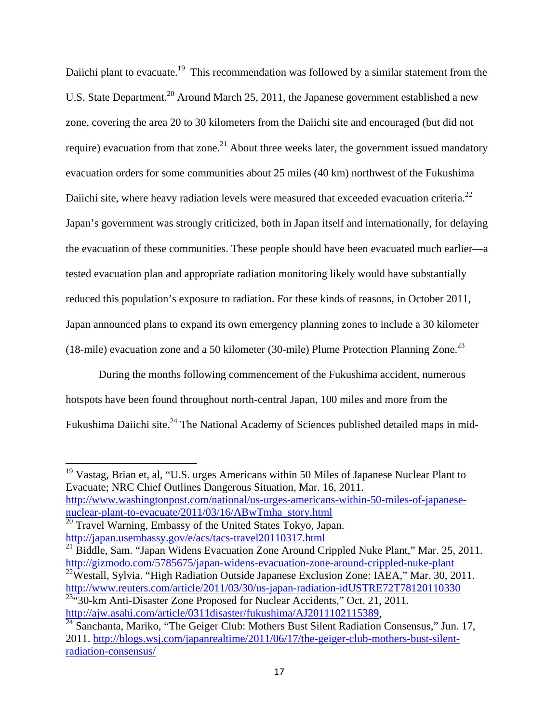Daiichi plant to evacuate.<sup>19</sup> This recommendation was followed by a similar statement from the U.S. State Department.<sup>20</sup> Around March 25, 2011, the Japanese government established a new zone, covering the area 20 to 30 kilometers from the Daiichi site and encouraged (but did not require) evacuation from that zone.<sup>21</sup> About three weeks later, the government issued mandatory evacuation orders for some communities about 25 miles (40 km) northwest of the Fukushima Daiichi site, where heavy radiation levels were measured that exceeded evacuation criteria.<sup>22</sup> Japan's government was strongly criticized, both in Japan itself and internationally, for delaying the evacuation of these communities. These people should have been evacuated much earlier—a tested evacuation plan and appropriate radiation monitoring likely would have substantially reduced this population's exposure to radiation. For these kinds of reasons, in October 2011, Japan announced plans to expand its own emergency planning zones to include a 30 kilometer (18-mile) evacuation zone and a 50 kilometer (30-mile) Plume Protection Planning Zone.<sup>23</sup>

During the months following commencement of the Fukushima accident, numerous hotspots have been found throughout north-central Japan, 100 miles and more from the Fukushima Daiichi site.<sup>24</sup> The National Academy of Sciences published detailed maps in mid-

<sup>19</sup> Vastag, Brian et, al, "U.S. urges Americans within 50 Miles of Japanese Nuclear Plant to Evacuate; NRC Chief Outlines Dangerous Situation, Mar. 16, 2011. http://www.washingtonpost.com/national/us-urges-americans-within-50-miles-of-japanesenuclear-plant-to-evacuate/2011/03/16/ABwTmha\_story.html

 $\frac{21}{21}$  Biddle, Sam. "Japan Widens Evacuation Zone Around Crippled Nuke Plant," Mar. 25, 2011. http://gizmodo.com/5785675/japan-widens-evacuation-zone-around-crippled-nuke-plant <sup>22</sup>Westall, Sylvia. "High Radiation Outside Japanese Exclusion Zone: IAEA," Mar. 30, 2011.

http://www.reuters.com/article/2011/03/30/us-japan-radiation-idUSTRE72T78120110330  $\frac{23}{30}$ -km Anti-Disaster Zone Proposed for Nuclear Accidents," Oct. 21, 2011.

 $^{20}$  Travel Warning, Embassy of the United States Tokyo, Japan. http://japan.usembassy.gov/e/acs/tacs-travel20110317.html

http://ajw.asahi.com/article/0311disaster/fukushima/AJ2011102115389,<br><sup>24</sup> Sanchanta, Mariko, "The Geiger Club: Mothers Bust Silent Radiation Consensus," Jun. 17, 2011. http://blogs.wsj.com/japanrealtime/2011/06/17/the-geiger-club-mothers-bust-silentradiation-consensus/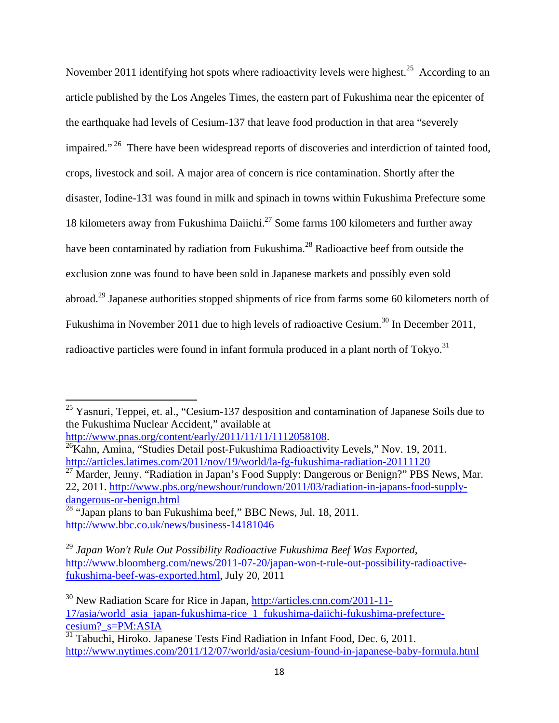November 2011 identifying hot spots where radioactivity levels were highest.<sup>25</sup> According to an article published by the Los Angeles Times, the eastern part of Fukushima near the epicenter of the earthquake had levels of Cesium-137 that leave food production in that area "severely impaired."<sup>26</sup> There have been widespread reports of discoveries and interdiction of tainted food, crops, livestock and soil. A major area of concern is rice contamination. Shortly after the disaster, Iodine-131 was found in milk and spinach in towns within Fukushima Prefecture some 18 kilometers away from Fukushima Daiichi.<sup>27</sup> Some farms 100 kilometers and further away have been contaminated by radiation from Fukushima.<sup>28</sup> Radioactive beef from outside the exclusion zone was found to have been sold in Japanese markets and possibly even sold abroad.29 Japanese authorities stopped shipments of rice from farms some 60 kilometers north of Fukushima in November 2011 due to high levels of radioactive Cesium.<sup>30</sup> In December 2011, radioactive particles were found in infant formula produced in a plant north of Tokyo.<sup>31</sup>

<sup>27</sup> Marder, Jenny. "Radiation in Japan's Food Supply: Dangerous or Benign?" PBS News, Mar. 22, 2011. http://www.pbs.org/newshour/rundown/2011/03/radiation-in-japans-food-supplydangerous-or-benign.html

 $25$  Yasnuri, Teppei, et. al., "Cesium-137 desposition and contamination of Japanese Soils due to the Fukushima Nuclear Accident," available at

http://www.pnas.org/content/early/2011/11/11/11/112058108.<br><sup>26</sup>Kahn, Amina, "Studies Detail post-Fukushima Radioactivity Levels," Nov. 19, 2011. http://articles.latimes.com/2011/nov/19/world/la-fg-fukushima-radiation-20111120

 $\frac{28}{28}$  "Japan plans to ban Fukushima beef," BBC News, Jul. 18, 2011. http://www.bbc.co.uk/news/business-14181046

<sup>29</sup> *Japan Won't Rule Out Possibility Radioactive Fukushima Beef Was Exported,*  http://www.bloomberg.com/news/2011-07-20/japan-won-t-rule-out-possibility-radioactivefukushima-beef-was-exported.html, July 20, 2011

<sup>30</sup> New Radiation Scare for Rice in Japan, http://articles.cnn.com/2011-11- 17/asia/world\_asia\_japan-fukushima-rice\_1\_fukushima-daiichi-fukushima-prefecturecesium?\_s=PM:ASIA

 $\frac{31}{31}$  Tabuchi, Hiroko. Japanese Tests Find Radiation in Infant Food, Dec. 6, 2011. http://www.nytimes.com/2011/12/07/world/asia/cesium-found-in-japanese-baby-formula.html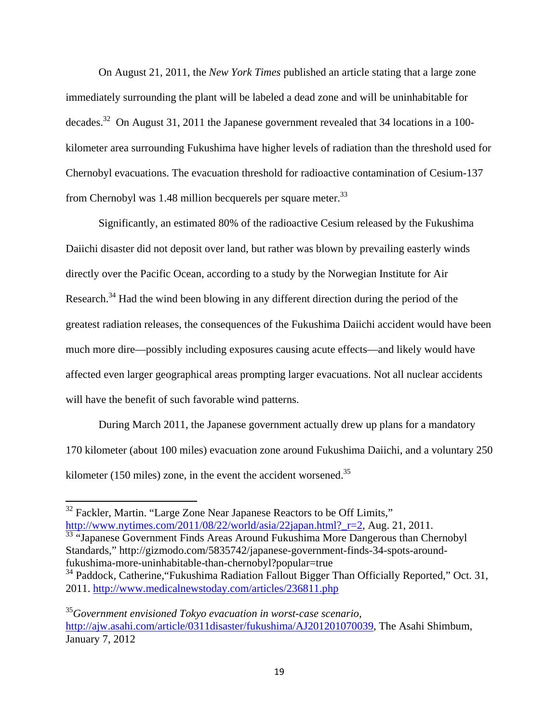On August 21, 2011, the *New York Times* published an article stating that a large zone immediately surrounding the plant will be labeled a dead zone and will be uninhabitable for decades.32 On August 31, 2011 the Japanese government revealed that 34 locations in a 100 kilometer area surrounding Fukushima have higher levels of radiation than the threshold used for Chernobyl evacuations. The evacuation threshold for radioactive contamination of Cesium-137 from Chernobyl was 1.48 million becquerels per square meter. $^{33}$ 

Significantly, an estimated 80% of the radioactive Cesium released by the Fukushima Daiichi disaster did not deposit over land, but rather was blown by prevailing easterly winds directly over the Pacific Ocean, according to a study by the Norwegian Institute for Air Research.<sup>34</sup> Had the wind been blowing in any different direction during the period of the greatest radiation releases, the consequences of the Fukushima Daiichi accident would have been much more dire—possibly including exposures causing acute effects—and likely would have affected even larger geographical areas prompting larger evacuations. Not all nuclear accidents will have the benefit of such favorable wind patterns.

During March 2011, the Japanese government actually drew up plans for a mandatory 170 kilometer (about 100 miles) evacuation zone around Fukushima Daiichi, and a voluntary 250 kilometer (150 miles) zone, in the event the accident worsened.<sup>35</sup>

<sup>33</sup> "Japanese Government Finds Areas Around Fukushima More Dangerous than Chernobyl Standards," http://gizmodo.com/5835742/japanese-government-finds-34-spots-aroundfukushima-more-uninhabitable-than-chernobyl?popular=true

<sup>&</sup>lt;sup>32</sup> Fackler, Martin. "Large Zone Near Japanese Reactors to be Off Limits," http://www.nytimes.com/2011/08/22/world/asia/22japan.html?\_r=2, Aug. 21, 2011.

<sup>&</sup>lt;sup>34</sup> Paddock, Catherine, "Fukushima Radiation Fallout Bigger Than Officially Reported," Oct. 31, 2011. http://www.medicalnewstoday.com/articles/236811.php

<sup>35</sup>*Government envisioned Tokyo evacuation in worst-case scenario,*  http://ajw.asahi.com/article/0311disaster/fukushima/AJ201201070039, The Asahi Shimbum, January 7, 2012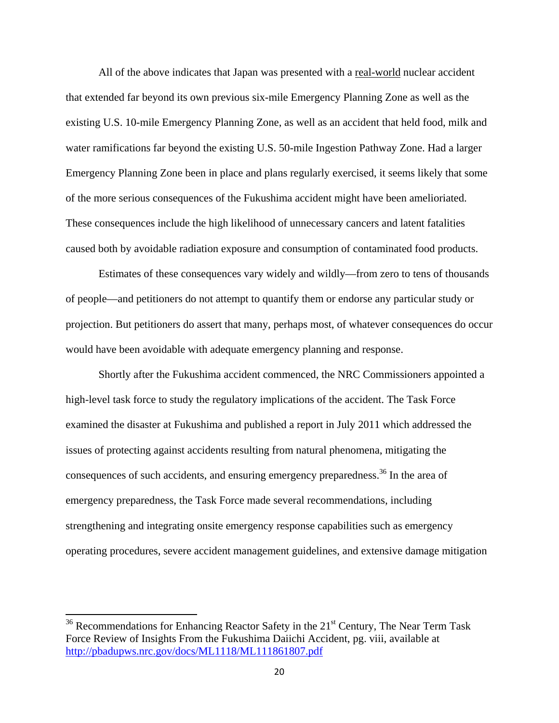All of the above indicates that Japan was presented with a real-world nuclear accident that extended far beyond its own previous six-mile Emergency Planning Zone as well as the existing U.S. 10-mile Emergency Planning Zone, as well as an accident that held food, milk and water ramifications far beyond the existing U.S. 50-mile Ingestion Pathway Zone. Had a larger Emergency Planning Zone been in place and plans regularly exercised, it seems likely that some of the more serious consequences of the Fukushima accident might have been amelioriated. These consequences include the high likelihood of unnecessary cancers and latent fatalities caused both by avoidable radiation exposure and consumption of contaminated food products.

Estimates of these consequences vary widely and wildly—from zero to tens of thousands of people—and petitioners do not attempt to quantify them or endorse any particular study or projection. But petitioners do assert that many, perhaps most, of whatever consequences do occur would have been avoidable with adequate emergency planning and response.

Shortly after the Fukushima accident commenced, the NRC Commissioners appointed a high-level task force to study the regulatory implications of the accident. The Task Force examined the disaster at Fukushima and published a report in July 2011 which addressed the issues of protecting against accidents resulting from natural phenomena, mitigating the consequences of such accidents, and ensuring emergency preparedness.<sup>36</sup> In the area of emergency preparedness, the Task Force made several recommendations, including strengthening and integrating onsite emergency response capabilities such as emergency operating procedures, severe accident management guidelines, and extensive damage mitigation

 $36$  Recommendations for Enhancing Reactor Safety in the  $21<sup>st</sup>$  Century, The Near Term Task Force Review of Insights From the Fukushima Daiichi Accident, pg. viii, available at http://pbadupws.nrc.gov/docs/ML1118/ML111861807.pdf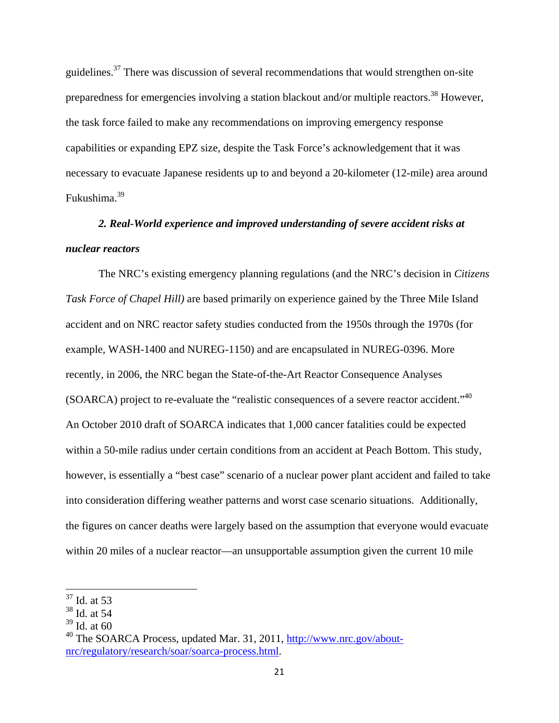guidelines.37 There was discussion of several recommendations that would strengthen on-site preparedness for emergencies involving a station blackout and/or multiple reactors.<sup>38</sup> However, the task force failed to make any recommendations on improving emergency response capabilities or expanding EPZ size, despite the Task Force's acknowledgement that it was necessary to evacuate Japanese residents up to and beyond a 20-kilometer (12-mile) area around Fukushima.<sup>39</sup>

# *2. Real-World experience and improved understanding of severe accident risks at nuclear reactors*

The NRC's existing emergency planning regulations (and the NRC's decision in *Citizens Task Force of Chapel Hill)* are based primarily on experience gained by the Three Mile Island accident and on NRC reactor safety studies conducted from the 1950s through the 1970s (for example, WASH-1400 and NUREG-1150) and are encapsulated in NUREG-0396. More recently, in 2006, the NRC began the State-of-the-Art Reactor Consequence Analyses (SOARCA) project to re-evaluate the "realistic consequences of a severe reactor accident."40 An October 2010 draft of SOARCA indicates that 1,000 cancer fatalities could be expected within a 50-mile radius under certain conditions from an accident at Peach Bottom. This study, however, is essentially a "best case" scenario of a nuclear power plant accident and failed to take into consideration differing weather patterns and worst case scenario situations. Additionally, the figures on cancer deaths were largely based on the assumption that everyone would evacuate within 20 miles of a nuclear reactor—an unsupportable assumption given the current 10 mile

<sup>37</sup> Id. at 53

<sup>38</sup> Id. at 54

 $39$  Id. at 60

 $^{40}$  The SOARCA Process, updated Mar. 31, 2011, http://www.nrc.gov/aboutnrc/regulatory/research/soar/soarca-process.html.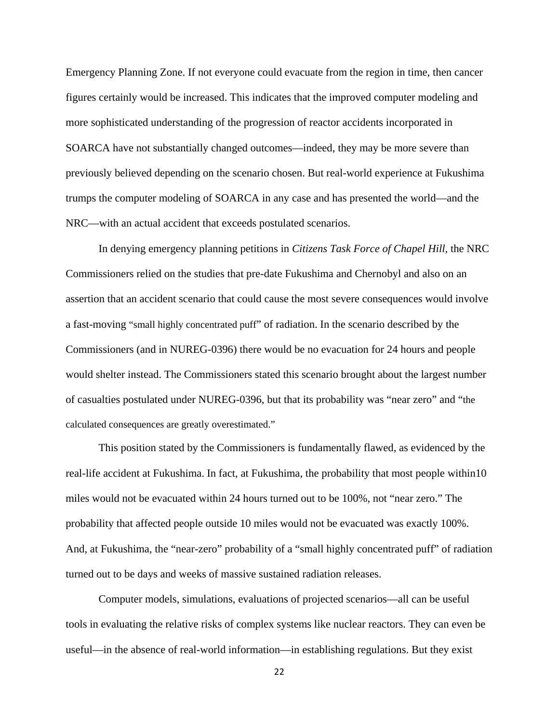Emergency Planning Zone. If not everyone could evacuate from the region in time, then cancer figures certainly would be increased. This indicates that the improved computer modeling and more sophisticated understanding of the progression of reactor accidents incorporated in SOARCA have not substantially changed outcomes—indeed, they may be more severe than previously believed depending on the scenario chosen. But real-world experience at Fukushima trumps the computer modeling of SOARCA in any case and has presented the world—and the NRC—with an actual accident that exceeds postulated scenarios.

In denying emergency planning petitions in *Citizens Task Force of Chapel Hill,* the NRC Commissioners relied on the studies that pre-date Fukushima and Chernobyl and also on an assertion that an accident scenario that could cause the most severe consequences would involve a fast-moving "small highly concentrated puff" of radiation. In the scenario described by the Commissioners (and in NUREG-0396) there would be no evacuation for 24 hours and people would shelter instead. The Commissioners stated this scenario brought about the largest number of casualties postulated under NUREG-0396, but that its probability was "near zero" and "the calculated consequences are greatly overestimated."

This position stated by the Commissioners is fundamentally flawed, as evidenced by the real-life accident at Fukushima. In fact, at Fukushima, the probability that most people within10 miles would not be evacuated within 24 hours turned out to be 100%, not "near zero." The probability that affected people outside 10 miles would not be evacuated was exactly 100%. And, at Fukushima, the "near-zero" probability of a "small highly concentrated puff" of radiation turned out to be days and weeks of massive sustained radiation releases.

Computer models, simulations, evaluations of projected scenarios—all can be useful tools in evaluating the relative risks of complex systems like nuclear reactors. They can even be useful—in the absence of real-world information—in establishing regulations. But they exist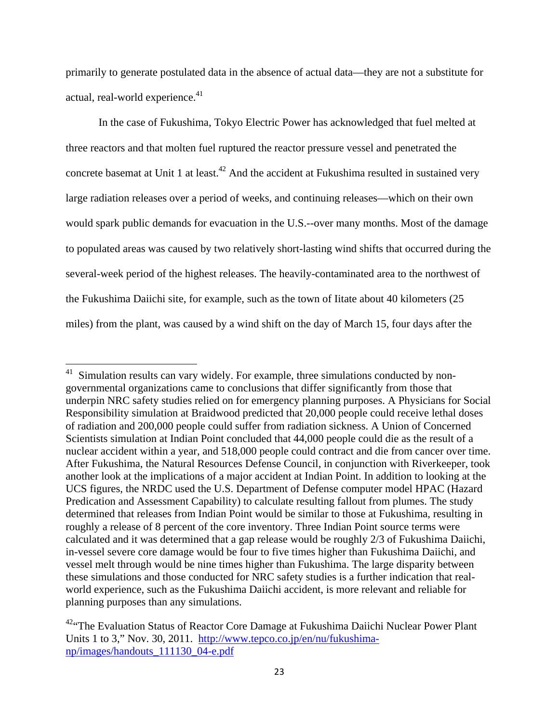primarily to generate postulated data in the absence of actual data—they are not a substitute for actual, real-world experience.<sup>41</sup>

In the case of Fukushima, Tokyo Electric Power has acknowledged that fuel melted at three reactors and that molten fuel ruptured the reactor pressure vessel and penetrated the concrete basemat at Unit 1 at least.<sup>42</sup> And the accident at Fukushima resulted in sustained very large radiation releases over a period of weeks, and continuing releases—which on their own would spark public demands for evacuation in the U.S.--over many months. Most of the damage to populated areas was caused by two relatively short-lasting wind shifts that occurred during the several-week period of the highest releases. The heavily-contaminated area to the northwest of the Fukushima Daiichi site, for example, such as the town of Iitate about 40 kilometers (25 miles) from the plant, was caused by a wind shift on the day of March 15, four days after the

Simulation results can vary widely. For example, three simulations conducted by nongovernmental organizations came to conclusions that differ significantly from those that underpin NRC safety studies relied on for emergency planning purposes. A Physicians for Social Responsibility simulation at Braidwood predicted that 20,000 people could receive lethal doses of radiation and 200,000 people could suffer from radiation sickness. A Union of Concerned Scientists simulation at Indian Point concluded that 44,000 people could die as the result of a nuclear accident within a year, and 518,000 people could contract and die from cancer over time. After Fukushima, the Natural Resources Defense Council, in conjunction with Riverkeeper, took another look at the implications of a major accident at Indian Point. In addition to looking at the UCS figures, the NRDC used the U.S. Department of Defense computer model HPAC (Hazard Predication and Assessment Capability) to calculate resulting fallout from plumes. The study determined that releases from Indian Point would be similar to those at Fukushima, resulting in roughly a release of 8 percent of the core inventory. Three Indian Point source terms were calculated and it was determined that a gap release would be roughly 2/3 of Fukushima Daiichi, in-vessel severe core damage would be four to five times higher than Fukushima Daiichi, and vessel melt through would be nine times higher than Fukushima. The large disparity between these simulations and those conducted for NRC safety studies is a further indication that realworld experience, such as the Fukushima Daiichi accident, is more relevant and reliable for planning purposes than any simulations.

<sup>&</sup>lt;sup>42</sup>"The Evaluation Status of Reactor Core Damage at Fukushima Daiichi Nuclear Power Plant Units 1 to 3," Nov. 30, 2011. http://www.tepco.co.jp/en/nu/fukushimanp/images/handouts\_111130\_04-e.pdf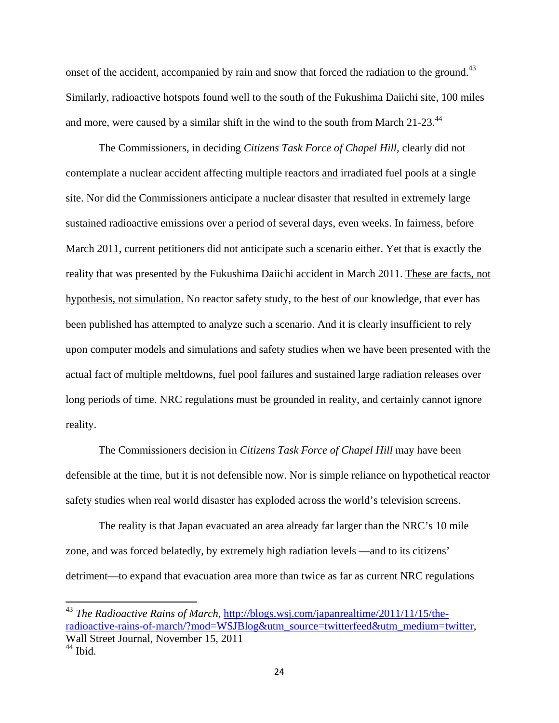onset of the accident, accompanied by rain and snow that forced the radiation to the ground.<sup>43</sup> Similarly, radioactive hotspots found well to the south of the Fukushima Daiichi site, 100 miles and more, were caused by a similar shift in the wind to the south from March 21-23.<sup>44</sup>

The Commissioners, in deciding *Citizens Task Force of Chapel Hill,* clearly did not contemplate a nuclear accident affecting multiple reactors and irradiated fuel pools at a single site. Nor did the Commissioners anticipate a nuclear disaster that resulted in extremely large sustained radioactive emissions over a period of several days, even weeks. In fairness, before March 2011, current petitioners did not anticipate such a scenario either. Yet that is exactly the reality that was presented by the Fukushima Daiichi accident in March 2011. These are facts, not hypothesis, not simulation. No reactor safety study, to the best of our knowledge, that ever has been published has attempted to analyze such a scenario. And it is clearly insufficient to rely upon computer models and simulations and safety studies when we have been presented with the actual fact of multiple meltdowns, fuel pool failures and sustained large radiation releases over long periods of time. NRC regulations must be grounded in reality, and certainly cannot ignore reality.

 The Commissioners decision in *Citizens Task Force of Chapel Hill* may have been defensible at the time, but it is not defensible now. Nor is simple reliance on hypothetical reactor safety studies when real world disaster has exploded across the world's television screens.

 The reality is that Japan evacuated an area already far larger than the NRC's 10 mile zone, and was forced belatedly, by extremely high radiation levels —and to its citizens' detriment—to expand that evacuation area more than twice as far as current NRC regulations

<sup>&</sup>lt;sup>43</sup> *The Radioactive Rains of March*, http://blogs.wsj.com/japanrealtime/2011/11/15/theradioactive-rains-of-march/?mod=WSJBlog&utm\_source=twitterfeed&utm\_medium=twitter, Wall Street Journal, November 15, 2011  $44$  Ibid.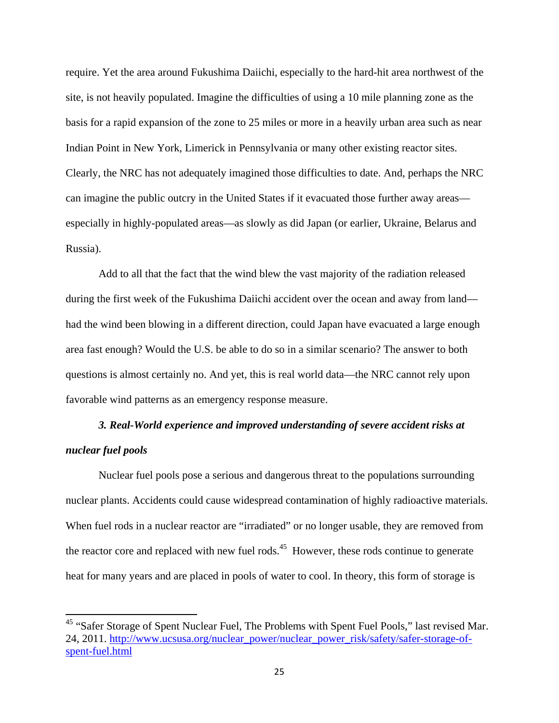require. Yet the area around Fukushima Daiichi, especially to the hard-hit area northwest of the site, is not heavily populated. Imagine the difficulties of using a 10 mile planning zone as the basis for a rapid expansion of the zone to 25 miles or more in a heavily urban area such as near Indian Point in New York, Limerick in Pennsylvania or many other existing reactor sites. Clearly, the NRC has not adequately imagined those difficulties to date. And, perhaps the NRC can imagine the public outcry in the United States if it evacuated those further away areas especially in highly-populated areas—as slowly as did Japan (or earlier, Ukraine, Belarus and Russia).

 Add to all that the fact that the wind blew the vast majority of the radiation released during the first week of the Fukushima Daiichi accident over the ocean and away from land had the wind been blowing in a different direction, could Japan have evacuated a large enough area fast enough? Would the U.S. be able to do so in a similar scenario? The answer to both questions is almost certainly no. And yet, this is real world data—the NRC cannot rely upon favorable wind patterns as an emergency response measure.

# *3. Real-World experience and improved understanding of severe accident risks at nuclear fuel pools*

Nuclear fuel pools pose a serious and dangerous threat to the populations surrounding nuclear plants. Accidents could cause widespread contamination of highly radioactive materials. When fuel rods in a nuclear reactor are "irradiated" or no longer usable, they are removed from the reactor core and replaced with new fuel rods.<sup>45</sup> However, these rods continue to generate heat for many years and are placed in pools of water to cool. In theory, this form of storage is

<sup>&</sup>lt;sup>45</sup> "Safer Storage of Spent Nuclear Fuel, The Problems with Spent Fuel Pools," last revised Mar. 24, 2011. http://www.ucsusa.org/nuclear\_power/nuclear\_power\_risk/safety/safer-storage-ofspent-fuel.html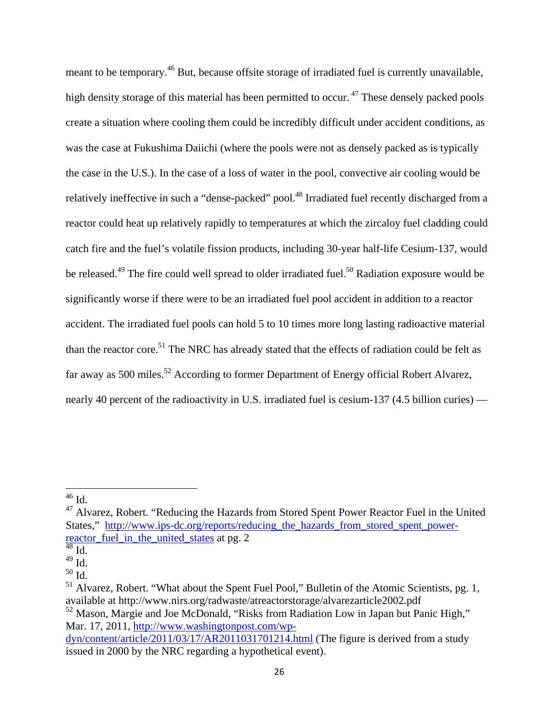meant to be temporary.<sup>46</sup> But, because offsite storage of irradiated fuel is currently unavailable, high density storage of this material has been permitted to occur.  $47$  These densely packed pools create a situation where cooling them could be incredibly difficult under accident conditions, as was the case at Fukushima Daiichi (where the pools were not as densely packed as is typically the case in the U.S.). In the case of a loss of water in the pool, convective air cooling would be relatively ineffective in such a "dense-packed" pool.<sup>48</sup> Irradiated fuel recently discharged from a reactor could heat up relatively rapidly to temperatures at which the zircaloy fuel cladding could catch fire and the fuel's volatile fission products, including 30-year half-life Cesium-137, would be released.<sup>49</sup> The fire could well spread to older irradiated fuel.<sup>50</sup> Radiation exposure would be significantly worse if there were to be an irradiated fuel pool accident in addition to a reactor accident. The irradiated fuel pools can hold 5 to 10 times more long lasting radioactive material than the reactor core.<sup>51</sup> The NRC has already stated that the effects of radiation could be felt as far away as 500 miles.<sup>52</sup> According to former Department of Energy official Robert Alvarez, nearly 40 percent of the radioactivity in U.S. irradiated fuel is cesium-137 (4.5 billion curies) —

  $^{46}$  Id.

<sup>&</sup>lt;sup>47</sup> Alvarez, Robert. "Reducing the Hazards from Stored Spent Power Reactor Fuel in the United States," http://www.ips-dc.org/reports/reducing the hazards from stored spent powerreactor\_fuel\_in\_the\_united\_states at pg. 2

 $48 \overline{\mathrm{Id}}$ .

 $^{49}$  Id.

 $50$  Id.

 $<sup>51</sup>$  Alvarez, Robert. "What about the Spent Fuel Pool," Bulletin of the Atomic Scientists, pg. 1,</sup> available at http://www.nirs.org/radwaste/atreactorstorage/alvarezarticle2002.pdf

<sup>&</sup>lt;sup>52</sup> Mason, Margie and Joe McDonald, "Risks from Radiation Low in Japan but Panic High," Mar. 17, 2011, http://www.washingtonpost.com/wp-

dyn/content/article/2011/03/17/AR2011031701214.html (The figure is derived from a study issued in 2000 by the NRC regarding a hypothetical event).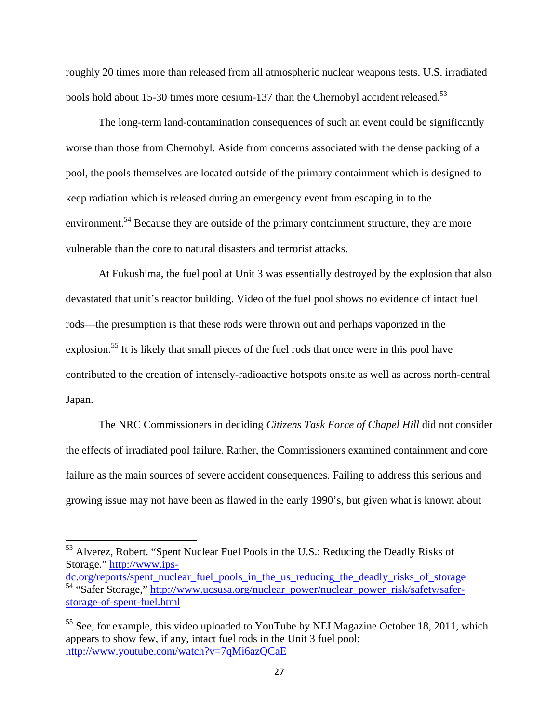roughly 20 times more than released from all atmospheric nuclear weapons tests. U.S. irradiated pools hold about 15-30 times more cesium-137 than the Chernobyl accident released.<sup>53</sup>

The long-term land-contamination consequences of such an event could be significantly worse than those from Chernobyl. Aside from concerns associated with the dense packing of a pool, the pools themselves are located outside of the primary containment which is designed to keep radiation which is released during an emergency event from escaping in to the environment.<sup>54</sup> Because they are outside of the primary containment structure, they are more vulnerable than the core to natural disasters and terrorist attacks.

At Fukushima, the fuel pool at Unit 3 was essentially destroyed by the explosion that also devastated that unit's reactor building. Video of the fuel pool shows no evidence of intact fuel rods—the presumption is that these rods were thrown out and perhaps vaporized in the explosion.<sup>55</sup> It is likely that small pieces of the fuel rods that once were in this pool have contributed to the creation of intensely-radioactive hotspots onsite as well as across north-central Japan.

The NRC Commissioners in deciding *Citizens Task Force of Chapel Hill* did not consider the effects of irradiated pool failure. Rather, the Commissioners examined containment and core failure as the main sources of severe accident consequences. Failing to address this serious and growing issue may not have been as flawed in the early 1990's, but given what is known about

 $53$  Alverez, Robert. "Spent Nuclear Fuel Pools in the U.S.: Reducing the Deadly Risks of Storage." http://www.ips-

dc.org/reports/spent\_nuclear\_fuel\_pools\_in\_the\_us\_reducing\_the\_deadly\_risks\_of\_storage 54 "Safer Storage," http://www.ucsusa.org/nuclear\_power/nuclear\_power\_risk/safety/saferstorage-of-spent-fuel.html

<sup>&</sup>lt;sup>55</sup> See, for example, this video uploaded to YouTube by NEI Magazine October 18, 2011, which appears to show few, if any, intact fuel rods in the Unit 3 fuel pool: http://www.youtube.com/watch?v=7qMi6azQCaE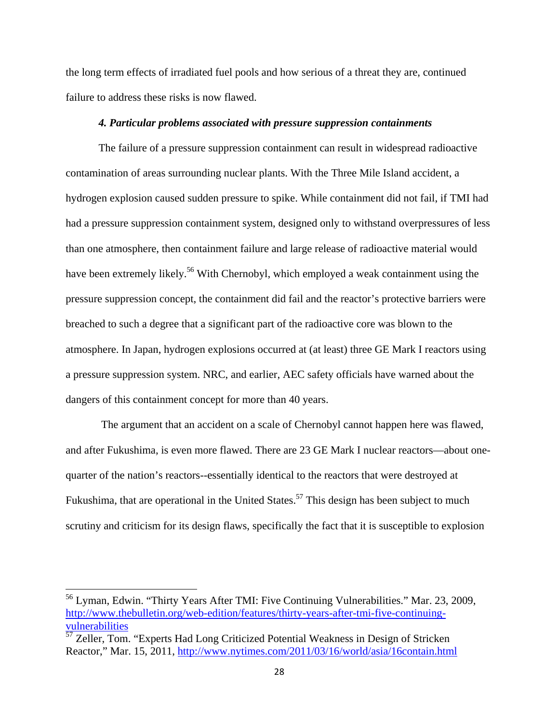the long term effects of irradiated fuel pools and how serious of a threat they are, continued failure to address these risks is now flawed.

#### *4. Particular problems associated with pressure suppression containments*

The failure of a pressure suppression containment can result in widespread radioactive contamination of areas surrounding nuclear plants. With the Three Mile Island accident, a hydrogen explosion caused sudden pressure to spike. While containment did not fail, if TMI had had a pressure suppression containment system, designed only to withstand overpressures of less than one atmosphere, then containment failure and large release of radioactive material would have been extremely likely.<sup>56</sup> With Chernobyl, which employed a weak containment using the pressure suppression concept, the containment did fail and the reactor's protective barriers were breached to such a degree that a significant part of the radioactive core was blown to the atmosphere. In Japan, hydrogen explosions occurred at (at least) three GE Mark I reactors using a pressure suppression system. NRC, and earlier, AEC safety officials have warned about the dangers of this containment concept for more than 40 years.

 The argument that an accident on a scale of Chernobyl cannot happen here was flawed, and after Fukushima, is even more flawed. There are 23 GE Mark I nuclear reactors—about onequarter of the nation's reactors--essentially identical to the reactors that were destroyed at Fukushima, that are operational in the United States.<sup>57</sup> This design has been subject to much scrutiny and criticism for its design flaws, specifically the fact that it is susceptible to explosion

<sup>&</sup>lt;sup>56</sup> Lyman, Edwin. "Thirty Years After TMI: Five Continuing Vulnerabilities." Mar. 23, 2009, http://www.thebulletin.org/web-edition/features/thirty-years-after-tmi-five-continuingvulnerabilities

 $\frac{57}{2}$  Zeller, Tom. "Experts Had Long Criticized Potential Weakness in Design of Stricken Reactor," Mar. 15, 2011, http://www.nytimes.com/2011/03/16/world/asia/16contain.html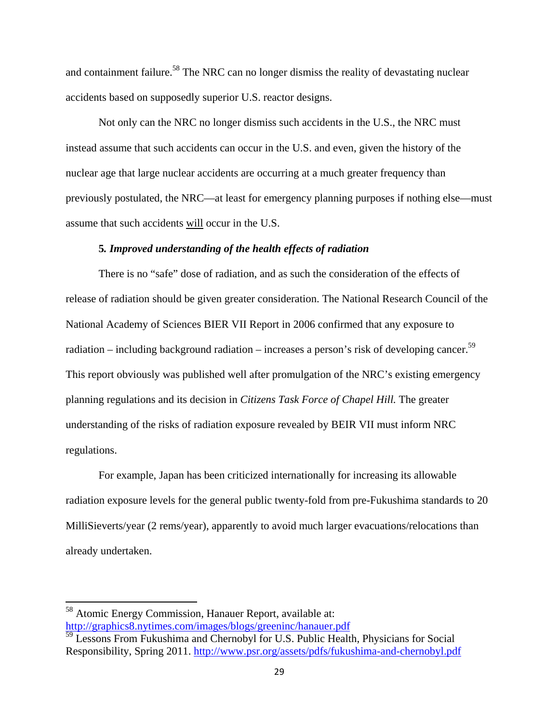and containment failure.<sup>58</sup> The NRC can no longer dismiss the reality of devastating nuclear accidents based on supposedly superior U.S. reactor designs.

Not only can the NRC no longer dismiss such accidents in the U.S., the NRC must instead assume that such accidents can occur in the U.S. and even, given the history of the nuclear age that large nuclear accidents are occurring at a much greater frequency than previously postulated, the NRC—at least for emergency planning purposes if nothing else—must assume that such accidents will occur in the U.S.

#### **5***. Improved understanding of the health effects of radiation*

There is no "safe" dose of radiation, and as such the consideration of the effects of release of radiation should be given greater consideration. The National Research Council of the National Academy of Sciences BIER VII Report in 2006 confirmed that any exposure to radiation – including background radiation – increases a person's risk of developing cancer.<sup>59</sup> This report obviously was published well after promulgation of the NRC's existing emergency planning regulations and its decision in *Citizens Task Force of Chapel Hill.* The greater understanding of the risks of radiation exposure revealed by BEIR VII must inform NRC regulations.

 For example, Japan has been criticized internationally for increasing its allowable radiation exposure levels for the general public twenty-fold from pre-Fukushima standards to 20 MilliSieverts/year (2 rems/year), apparently to avoid much larger evacuations/relocations than already undertaken.

<sup>58</sup> Atomic Energy Commission, Hanauer Report, available at: http://graphics8.nytimes.com/images/blogs/greeninc/hanauer.pdf

<sup>&</sup>lt;sup>59</sup> Lessons From Fukushima and Chernobyl for U.S. Public Health, Physicians for Social Responsibility, Spring 2011. http://www.psr.org/assets/pdfs/fukushima-and-chernobyl.pdf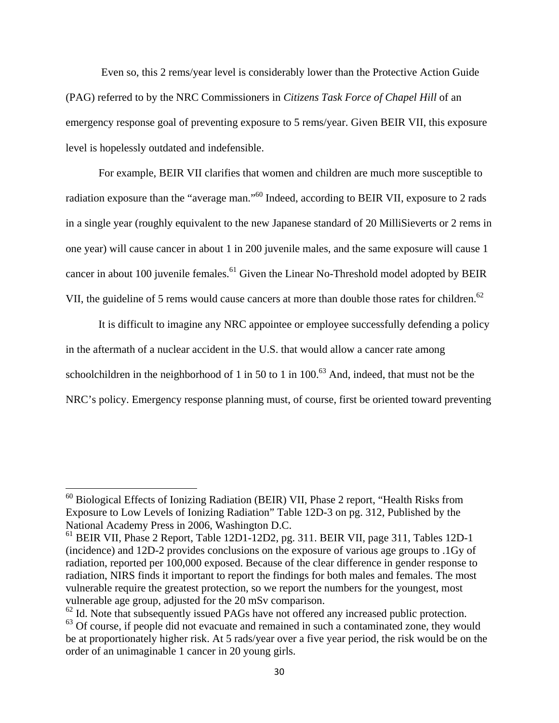Even so, this 2 rems/year level is considerably lower than the Protective Action Guide (PAG) referred to by the NRC Commissioners in *Citizens Task Force of Chapel Hill* of an emergency response goal of preventing exposure to 5 rems/year. Given BEIR VII, this exposure level is hopelessly outdated and indefensible.

 For example, BEIR VII clarifies that women and children are much more susceptible to radiation exposure than the "average man."60 Indeed, according to BEIR VII, exposure to 2 rads in a single year (roughly equivalent to the new Japanese standard of 20 MilliSieverts or 2 rems in one year) will cause cancer in about 1 in 200 juvenile males, and the same exposure will cause 1 cancer in about 100 juvenile females.<sup>61</sup> Given the Linear No-Threshold model adopted by BEIR VII, the guideline of 5 rems would cause cancers at more than double those rates for children.<sup>62</sup>

 It is difficult to imagine any NRC appointee or employee successfully defending a policy in the aftermath of a nuclear accident in the U.S. that would allow a cancer rate among schoolchildren in the neighborhood of 1 in 50 to 1 in 100.<sup>63</sup> And, indeed, that must not be the NRC's policy. Emergency response planning must, of course, first be oriented toward preventing

 $60$  Biological Effects of Ionizing Radiation (BEIR) VII, Phase 2 report, "Health Risks from Exposure to Low Levels of Ionizing Radiation" Table 12D-3 on pg. 312, Published by the National Academy Press in 2006, Washington D.C.

<sup>61</sup> BEIR VII, Phase 2 Report, Table 12D1-12D2, pg. 311. BEIR VII, page 311, Tables 12D-1 (incidence) and 12D-2 provides conclusions on the exposure of various age groups to .1Gy of radiation, reported per 100,000 exposed. Because of the clear difference in gender response to radiation, NIRS finds it important to report the findings for both males and females. The most vulnerable require the greatest protection, so we report the numbers for the youngest, most vulnerable age group, adjusted for the 20 mSv comparison.

<sup>&</sup>lt;sup>62</sup> Id. Note that subsequently issued PAGs have not offered any increased public protection.

<sup>&</sup>lt;sup>63</sup> Of course, if people did not evacuate and remained in such a contaminated zone, they would be at proportionately higher risk. At 5 rads/year over a five year period, the risk would be on the order of an unimaginable 1 cancer in 20 young girls.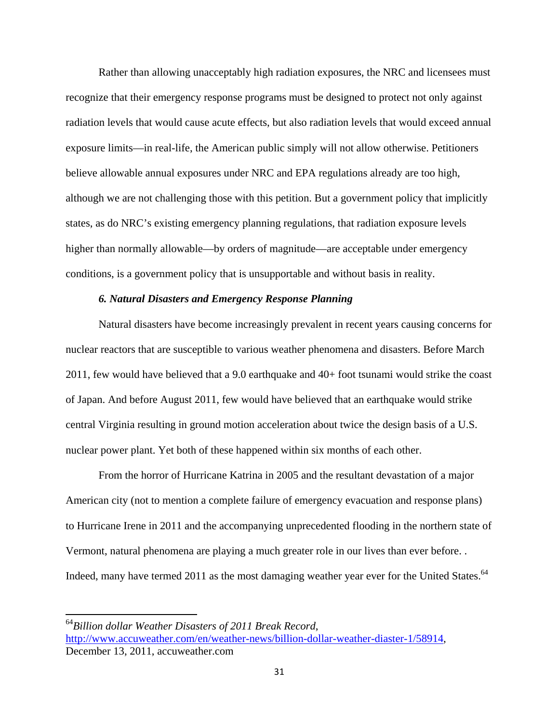Rather than allowing unacceptably high radiation exposures, the NRC and licensees must recognize that their emergency response programs must be designed to protect not only against radiation levels that would cause acute effects, but also radiation levels that would exceed annual exposure limits—in real-life, the American public simply will not allow otherwise. Petitioners believe allowable annual exposures under NRC and EPA regulations already are too high, although we are not challenging those with this petition. But a government policy that implicitly states, as do NRC's existing emergency planning regulations, that radiation exposure levels higher than normally allowable—by orders of magnitude—are acceptable under emergency conditions, is a government policy that is unsupportable and without basis in reality.

#### *6. Natural Disasters and Emergency Response Planning*

Natural disasters have become increasingly prevalent in recent years causing concerns for nuclear reactors that are susceptible to various weather phenomena and disasters. Before March 2011, few would have believed that a 9.0 earthquake and 40+ foot tsunami would strike the coast of Japan. And before August 2011, few would have believed that an earthquake would strike central Virginia resulting in ground motion acceleration about twice the design basis of a U.S. nuclear power plant. Yet both of these happened within six months of each other.

 From the horror of Hurricane Katrina in 2005 and the resultant devastation of a major American city (not to mention a complete failure of emergency evacuation and response plans) to Hurricane Irene in 2011 and the accompanying unprecedented flooding in the northern state of Vermont, natural phenomena are playing a much greater role in our lives than ever before. . Indeed, many have termed 2011 as the most damaging weather year ever for the United States.<sup>64</sup>

<sup>64</sup>*Billion dollar Weather Disasters of 2011 Break Record*, http://www.accuweather.com/en/weather-news/billion-dollar-weather-diaster-1/58914, December 13, 2011, accuweather.com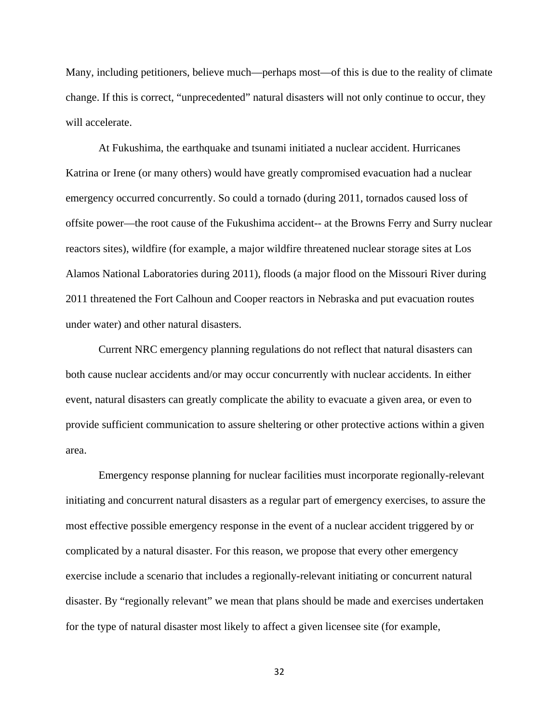Many, including petitioners, believe much—perhaps most—of this is due to the reality of climate change. If this is correct, "unprecedented" natural disasters will not only continue to occur, they will accelerate.

At Fukushima, the earthquake and tsunami initiated a nuclear accident. Hurricanes Katrina or Irene (or many others) would have greatly compromised evacuation had a nuclear emergency occurred concurrently. So could a tornado (during 2011, tornados caused loss of offsite power—the root cause of the Fukushima accident-- at the Browns Ferry and Surry nuclear reactors sites), wildfire (for example, a major wildfire threatened nuclear storage sites at Los Alamos National Laboratories during 2011), floods (a major flood on the Missouri River during 2011 threatened the Fort Calhoun and Cooper reactors in Nebraska and put evacuation routes under water) and other natural disasters.

Current NRC emergency planning regulations do not reflect that natural disasters can both cause nuclear accidents and/or may occur concurrently with nuclear accidents. In either event, natural disasters can greatly complicate the ability to evacuate a given area, or even to provide sufficient communication to assure sheltering or other protective actions within a given area.

Emergency response planning for nuclear facilities must incorporate regionally-relevant initiating and concurrent natural disasters as a regular part of emergency exercises, to assure the most effective possible emergency response in the event of a nuclear accident triggered by or complicated by a natural disaster. For this reason, we propose that every other emergency exercise include a scenario that includes a regionally-relevant initiating or concurrent natural disaster. By "regionally relevant" we mean that plans should be made and exercises undertaken for the type of natural disaster most likely to affect a given licensee site (for example,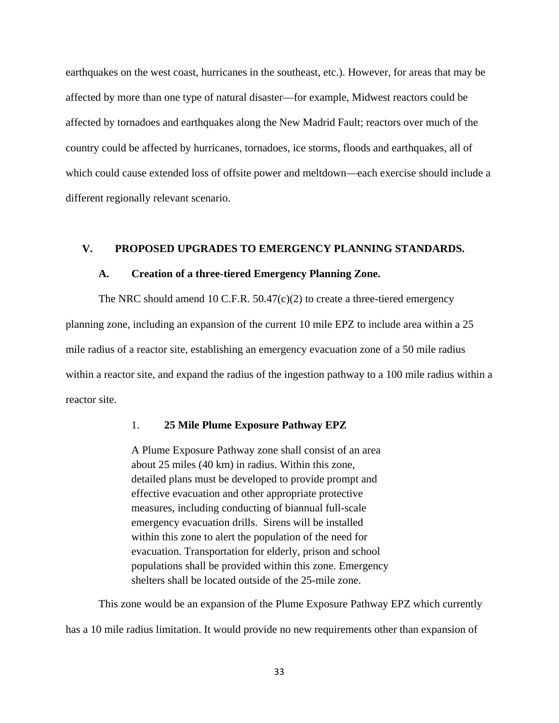earthquakes on the west coast, hurricanes in the southeast, etc.). However, for areas that may be affected by more than one type of natural disaster—for example, Midwest reactors could be affected by tornadoes and earthquakes along the New Madrid Fault; reactors over much of the country could be affected by hurricanes, tornadoes, ice storms, floods and earthquakes, all of which could cause extended loss of offsite power and meltdown—each exercise should include a different regionally relevant scenario.

# **V. PROPOSED UPGRADES TO EMERGENCY PLANNING STANDARDS.**

#### **A. Creation of a three-tiered Emergency Planning Zone.**

The NRC should amend 10 C.F.R.  $50.47(c)(2)$  to create a three-tiered emergency planning zone, including an expansion of the current 10 mile EPZ to include area within a 25 mile radius of a reactor site, establishing an emergency evacuation zone of a 50 mile radius within a reactor site, and expand the radius of the ingestion pathway to a 100 mile radius within a reactor site.

#### 1. **25 Mile Plume Exposure Pathway EPZ**

A Plume Exposure Pathway zone shall consist of an area about 25 miles (40 km) in radius. Within this zone, detailed plans must be developed to provide prompt and effective evacuation and other appropriate protective measures, including conducting of biannual full-scale emergency evacuation drills. Sirens will be installed within this zone to alert the population of the need for evacuation. Transportation for elderly, prison and school populations shall be provided within this zone. Emergency shelters shall be located outside of the 25-mile zone.

 This zone would be an expansion of the Plume Exposure Pathway EPZ which currently has a 10 mile radius limitation. It would provide no new requirements other than expansion of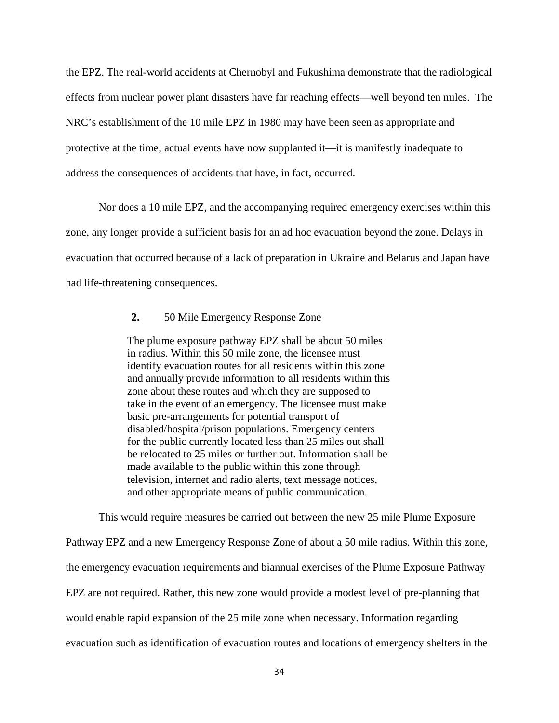the EPZ. The real-world accidents at Chernobyl and Fukushima demonstrate that the radiological effects from nuclear power plant disasters have far reaching effects—well beyond ten miles. The NRC's establishment of the 10 mile EPZ in 1980 may have been seen as appropriate and protective at the time; actual events have now supplanted it—it is manifestly inadequate to address the consequences of accidents that have, in fact, occurred.

Nor does a 10 mile EPZ, and the accompanying required emergency exercises within this zone, any longer provide a sufficient basis for an ad hoc evacuation beyond the zone. Delays in evacuation that occurred because of a lack of preparation in Ukraine and Belarus and Japan have had life-threatening consequences.

# **2.** 50 Mile Emergency Response Zone

The plume exposure pathway EPZ shall be about 50 miles in radius. Within this 50 mile zone, the licensee must identify evacuation routes for all residents within this zone and annually provide information to all residents within this zone about these routes and which they are supposed to take in the event of an emergency. The licensee must make basic pre-arrangements for potential transport of disabled/hospital/prison populations. Emergency centers for the public currently located less than 25 miles out shall be relocated to 25 miles or further out. Information shall be made available to the public within this zone through television, internet and radio alerts, text message notices, and other appropriate means of public communication.

 This would require measures be carried out between the new 25 mile Plume Exposure Pathway EPZ and a new Emergency Response Zone of about a 50 mile radius. Within this zone, the emergency evacuation requirements and biannual exercises of the Plume Exposure Pathway EPZ are not required. Rather, this new zone would provide a modest level of pre-planning that would enable rapid expansion of the 25 mile zone when necessary. Information regarding evacuation such as identification of evacuation routes and locations of emergency shelters in the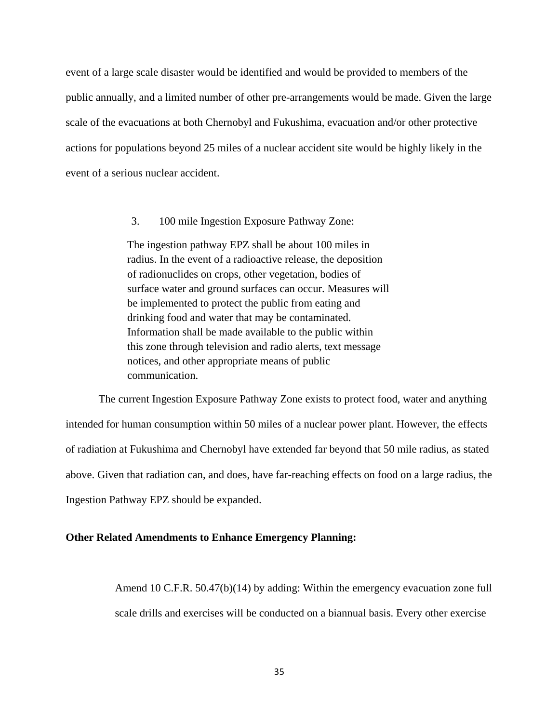event of a large scale disaster would be identified and would be provided to members of the public annually, and a limited number of other pre-arrangements would be made. Given the large scale of the evacuations at both Chernobyl and Fukushima, evacuation and/or other protective actions for populations beyond 25 miles of a nuclear accident site would be highly likely in the event of a serious nuclear accident.

3. 100 mile Ingestion Exposure Pathway Zone:

The ingestion pathway EPZ shall be about 100 miles in radius. In the event of a radioactive release, the deposition of radionuclides on crops, other vegetation, bodies of surface water and ground surfaces can occur. Measures will be implemented to protect the public from eating and drinking food and water that may be contaminated. Information shall be made available to the public within this zone through television and radio alerts, text message notices, and other appropriate means of public communication.

 The current Ingestion Exposure Pathway Zone exists to protect food, water and anything intended for human consumption within 50 miles of a nuclear power plant. However, the effects of radiation at Fukushima and Chernobyl have extended far beyond that 50 mile radius, as stated above. Given that radiation can, and does, have far-reaching effects on food on a large radius, the Ingestion Pathway EPZ should be expanded.

#### **Other Related Amendments to Enhance Emergency Planning:**

Amend 10 C.F.R. 50.47(b)(14) by adding: Within the emergency evacuation zone full scale drills and exercises will be conducted on a biannual basis. Every other exercise